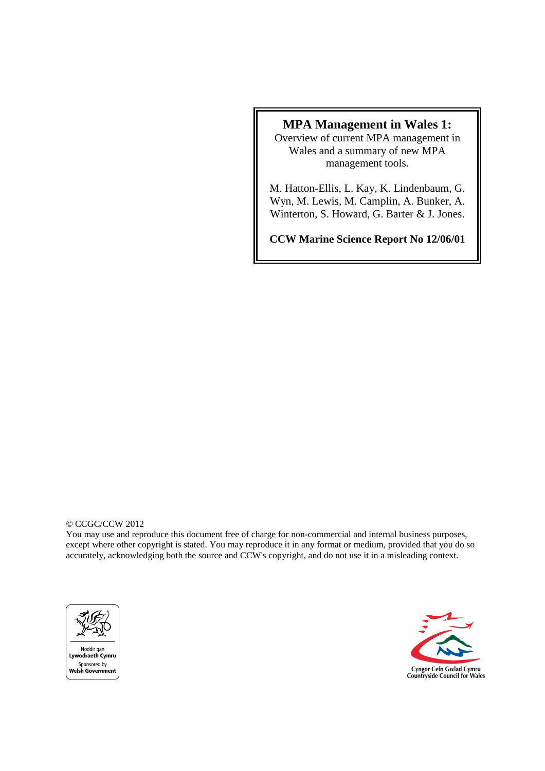## **MPA Management in Wales 1:**

Overview of current MPA management in Wales and a summary of new MPA management tools.

M. Hatton-Ellis, L. Kay, K. Lindenbaum, G. Wyn, M. Lewis, M. Camplin, A. Bunker, A. Winterton, S. Howard, G. Barter & J. Jones.

**CCW Marine Science Report No 12/06/01** 

#### © CCGC/CCW 2012

You may use and reproduce this document free of charge for non-commercial and internal business purposes, except where other copyright is stated. You may reproduce it in any format or medium, provided that you do so accurately, acknowledging both the source and CCW's copyright, and do not use it in a misleading context.



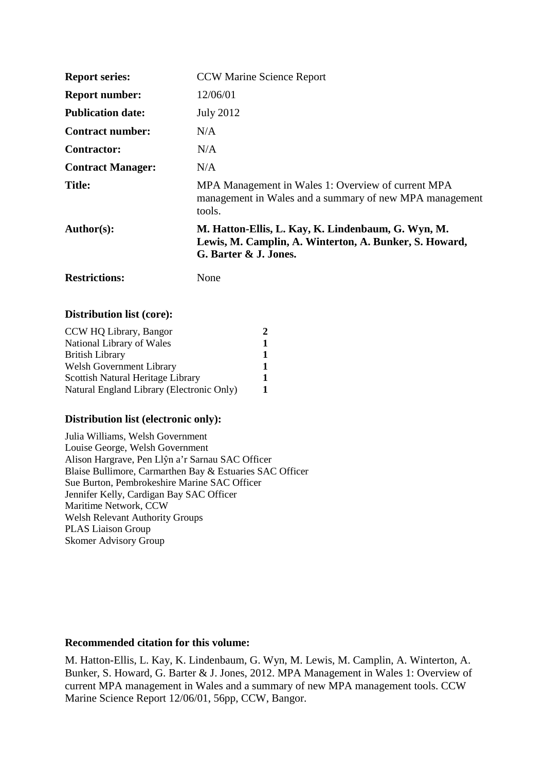| <b>Report series:</b>    | <b>CCW Marine Science Report</b>                                                                                                      |
|--------------------------|---------------------------------------------------------------------------------------------------------------------------------------|
| <b>Report number:</b>    | 12/06/01                                                                                                                              |
| <b>Publication date:</b> | <b>July 2012</b>                                                                                                                      |
| <b>Contract number:</b>  | N/A                                                                                                                                   |
| Contractor:              | N/A                                                                                                                                   |
| <b>Contract Manager:</b> | N/A                                                                                                                                   |
| <b>Title:</b>            | MPA Management in Wales 1: Overview of current MPA<br>management in Wales and a summary of new MPA management<br>tools.               |
| Author(s):               | M. Hatton-Ellis, L. Kay, K. Lindenbaum, G. Wyn, M.<br>Lewis, M. Camplin, A. Winterton, A. Bunker, S. Howard,<br>G. Barter & J. Jones. |

## **Distribution list (core):**

| CCW HQ Library, Bangor                    |  |
|-------------------------------------------|--|
| National Library of Wales                 |  |
| <b>British Library</b>                    |  |
| <b>Welsh Government Library</b>           |  |
| Scottish Natural Heritage Library         |  |
| Natural England Library (Electronic Only) |  |

#### **Distribution list (electronic only):**

**Restrictions:** None

Julia Williams, Welsh Government Louise George, Welsh Government Alison Hargrave, Pen Llŷn a'r Sarnau SAC Officer Blaise Bullimore, Carmarthen Bay & Estuaries SAC Officer Sue Burton, Pembrokeshire Marine SAC Officer Jennifer Kelly, Cardigan Bay SAC Officer Maritime Network, CCW Welsh Relevant Authority Groups PLAS Liaison Group Skomer Advisory Group

#### **Recommended citation for this volume:**

M. Hatton-Ellis, L. Kay, K. Lindenbaum, G. Wyn, M. Lewis, M. Camplin, A. Winterton, A. Bunker, S. Howard, G. Barter & J. Jones, 2012. MPA Management in Wales 1: Overview of current MPA management in Wales and a summary of new MPA management tools. CCW Marine Science Report 12/06/01, 56pp, CCW, Bangor.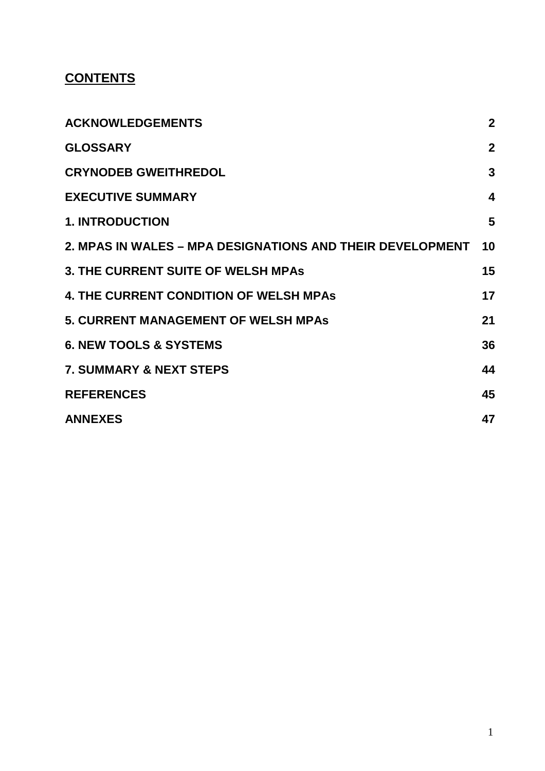# **CONTENTS**

| <b>ACKNOWLEDGEMENTS</b>                                   | $\boldsymbol{2}$        |
|-----------------------------------------------------------|-------------------------|
| <b>GLOSSARY</b>                                           | $\overline{2}$          |
| <b>CRYNODEB GWEITHREDOL</b>                               | $\overline{3}$          |
| <b>EXECUTIVE SUMMARY</b>                                  | $\overline{\mathbf{4}}$ |
| <b>1. INTRODUCTION</b>                                    | 5                       |
| 2. MPAS IN WALES – MPA DESIGNATIONS AND THEIR DEVELOPMENT | 10                      |
| <b>3. THE CURRENT SUITE OF WELSH MPAS</b>                 | 15                      |
| <b>4. THE CURRENT CONDITION OF WELSH MPAS</b>             | 17                      |
| <b>5. CURRENT MANAGEMENT OF WELSH MPAs</b>                | 21                      |
| <b>6. NEW TOOLS &amp; SYSTEMS</b>                         | 36                      |
| <b>7. SUMMARY &amp; NEXT STEPS</b>                        | 44                      |
| <b>REFERENCES</b>                                         | 45                      |
| <b>ANNEXES</b>                                            | 47                      |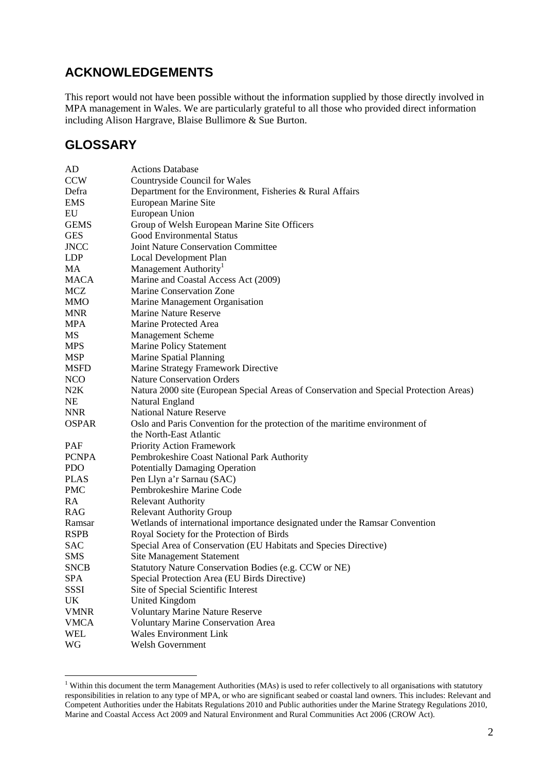## **ACKNOWLEDGEMENTS**

This report would not have been possible without the information supplied by those directly involved in MPA management in Wales. We are particularly grateful to all those who provided direct information including Alison Hargrave, Blaise Bullimore & Sue Burton.

## **GLOSSARY**

| AD           | <b>Actions Database</b>                                                                |
|--------------|----------------------------------------------------------------------------------------|
| <b>CCW</b>   | <b>Countryside Council for Wales</b>                                                   |
| Defra        | Department for the Environment, Fisheries & Rural Affairs                              |
| <b>EMS</b>   | European Marine Site                                                                   |
| EU           | European Union                                                                         |
| <b>GEMS</b>  | Group of Welsh European Marine Site Officers                                           |
| <b>GES</b>   | Good Environmental Status                                                              |
| <b>JNCC</b>  | Joint Nature Conservation Committee                                                    |
| <b>LDP</b>   | Local Development Plan                                                                 |
| MA           | Management Authority <sup>1</sup>                                                      |
| <b>MACA</b>  | Marine and Coastal Access Act (2009)                                                   |
| <b>MCZ</b>   | Marine Conservation Zone                                                               |
| <b>MMO</b>   | Marine Management Organisation                                                         |
| <b>MNR</b>   | <b>Marine Nature Reserve</b>                                                           |
| <b>MPA</b>   | Marine Protected Area                                                                  |
| MS           | Management Scheme                                                                      |
| <b>MPS</b>   | <b>Marine Policy Statement</b>                                                         |
| <b>MSP</b>   | Marine Spatial Planning                                                                |
| <b>MSFD</b>  | Marine Strategy Framework Directive                                                    |
| <b>NCO</b>   | <b>Nature Conservation Orders</b>                                                      |
| N2K          | Natura 2000 site (European Special Areas of Conservation and Special Protection Areas) |
| NE           | Natural England                                                                        |
| <b>NNR</b>   | <b>National Nature Reserve</b>                                                         |
| <b>OSPAR</b> | Oslo and Paris Convention for the protection of the maritime environment of            |
|              | the North-East Atlantic                                                                |
| PAF          | Priority Action Framework                                                              |
| <b>PCNPA</b> | Pembrokeshire Coast National Park Authority                                            |
| <b>PDO</b>   | <b>Potentially Damaging Operation</b>                                                  |
| <b>PLAS</b>  | Pen Llyn a'r Sarnau (SAC)                                                              |
| <b>PMC</b>   | Pembrokeshire Marine Code                                                              |
| RA           | <b>Relevant Authority</b>                                                              |
| <b>RAG</b>   | <b>Relevant Authority Group</b>                                                        |
| Ramsar       | Wetlands of international importance designated under the Ramsar Convention            |
| <b>RSPB</b>  | Royal Society for the Protection of Birds                                              |
| <b>SAC</b>   | Special Area of Conservation (EU Habitats and Species Directive)                       |
| <b>SMS</b>   | <b>Site Management Statement</b>                                                       |
| <b>SNCB</b>  | Statutory Nature Conservation Bodies (e.g. CCW or NE)                                  |
| <b>SPA</b>   | Special Protection Area (EU Birds Directive)                                           |
| SSSI         | Site of Special Scientific Interest                                                    |
| UK           | <b>United Kingdom</b>                                                                  |
| <b>VMNR</b>  | <b>Voluntary Marine Nature Reserve</b>                                                 |
| <b>VMCA</b>  | Voluntary Marine Conservation Area                                                     |
| <b>WEL</b>   | <b>Wales Environment Link</b>                                                          |
| WG           | Welsh Government                                                                       |

 1 Within this document the term Management Authorities (MAs) is used to refer collectively to all organisations with statutory responsibilities in relation to any type of MPA, or who are significant seabed or coastal land owners. This includes: Relevant and Competent Authorities under the Habitats Regulations 2010 and Public authorities under the Marine Strategy Regulations 2010, Marine and Coastal Access Act 2009 and Natural Environment and Rural Communities Act 2006 (CROW Act).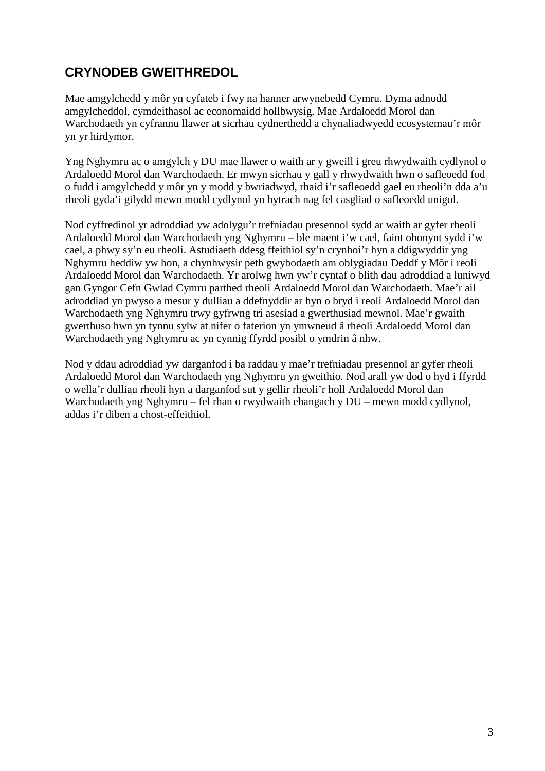# **CRYNODEB GWEITHREDOL**

Mae amgylchedd y môr yn cyfateb i fwy na hanner arwynebedd Cymru. Dyma adnodd amgylcheddol, cymdeithasol ac economaidd hollbwysig. Mae Ardaloedd Morol dan Warchodaeth yn cyfrannu llawer at sicrhau cydnerthedd a chynaliadwyedd ecosystemau'r môr yn yr hirdymor.

Yng Nghymru ac o amgylch y DU mae llawer o waith ar y gweill i greu rhwydwaith cydlynol o Ardaloedd Morol dan Warchodaeth. Er mwyn sicrhau y gall y rhwydwaith hwn o safleoedd fod o fudd i amgylchedd y môr yn y modd y bwriadwyd, rhaid i'r safleoedd gael eu rheoli'n dda a'u rheoli gyda'i gilydd mewn modd cydlynol yn hytrach nag fel casgliad o safleoedd unigol.

Nod cyffredinol yr adroddiad yw adolygu'r trefniadau presennol sydd ar waith ar gyfer rheoli Ardaloedd Morol dan Warchodaeth yng Nghymru – ble maent i'w cael, faint ohonynt sydd i'w cael, a phwy sy'n eu rheoli. Astudiaeth ddesg ffeithiol sy'n crynhoi'r hyn a ddigwyddir yng Nghymru heddiw yw hon, a chynhwysir peth gwybodaeth am oblygiadau Deddf y Môr i reoli Ardaloedd Morol dan Warchodaeth. Yr arolwg hwn yw'r cyntaf o blith dau adroddiad a luniwyd gan Gyngor Cefn Gwlad Cymru parthed rheoli Ardaloedd Morol dan Warchodaeth. Mae'r ail adroddiad yn pwyso a mesur y dulliau a ddefnyddir ar hyn o bryd i reoli Ardaloedd Morol dan Warchodaeth yng Nghymru trwy gyfrwng tri asesiad a gwerthusiad mewnol. Mae'r gwaith gwerthuso hwn yn tynnu sylw at nifer o faterion yn ymwneud â rheoli Ardaloedd Morol dan Warchodaeth yng Nghymru ac yn cynnig ffyrdd posibl o ymdrin â nhw.

Nod y ddau adroddiad yw darganfod i ba raddau y mae'r trefniadau presennol ar gyfer rheoli Ardaloedd Morol dan Warchodaeth yng Nghymru yn gweithio. Nod arall yw dod o hyd i ffyrdd o wella'r dulliau rheoli hyn a darganfod sut y gellir rheoli'r holl Ardaloedd Morol dan Warchodaeth yng Nghymru – fel rhan o rwydwaith ehangach y DU – mewn modd cydlynol, addas i'r diben a chost-effeithiol.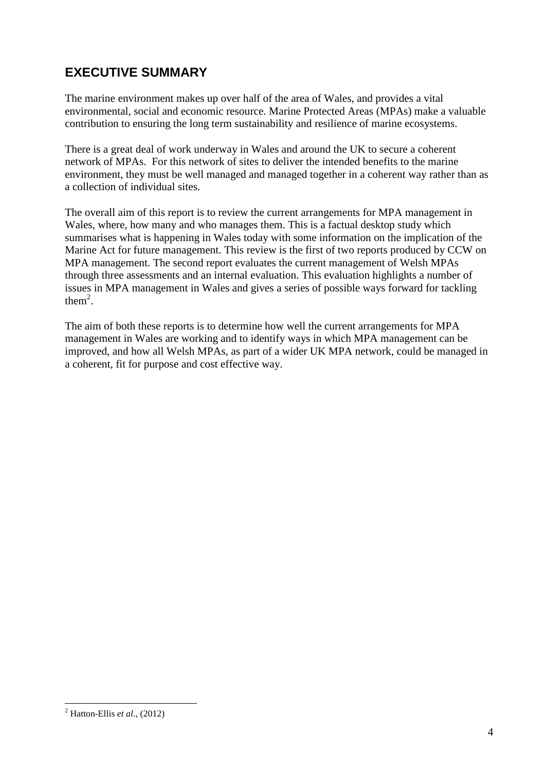# **EXECUTIVE SUMMARY**

The marine environment makes up over half of the area of Wales, and provides a vital environmental, social and economic resource. Marine Protected Areas (MPAs) make a valuable contribution to ensuring the long term sustainability and resilience of marine ecosystems.

There is a great deal of work underway in Wales and around the UK to secure a coherent network of MPAs. For this network of sites to deliver the intended benefits to the marine environment, they must be well managed and managed together in a coherent way rather than as a collection of individual sites.

The overall aim of this report is to review the current arrangements for MPA management in Wales, where, how many and who manages them. This is a factual desktop study which summarises what is happening in Wales today with some information on the implication of the Marine Act for future management. This review is the first of two reports produced by CCW on MPA management. The second report evaluates the current management of Welsh MPAs through three assessments and an internal evaluation. This evaluation highlights a number of issues in MPA management in Wales and gives a series of possible ways forward for tackling them<sup>2</sup>.

The aim of both these reports is to determine how well the current arrangements for MPA management in Wales are working and to identify ways in which MPA management can be improved, and how all Welsh MPAs, as part of a wider UK MPA network, could be managed in a coherent, fit for purpose and cost effective way.

 $\overline{a}$ 2 Hatton-Ellis *et al*., (2012)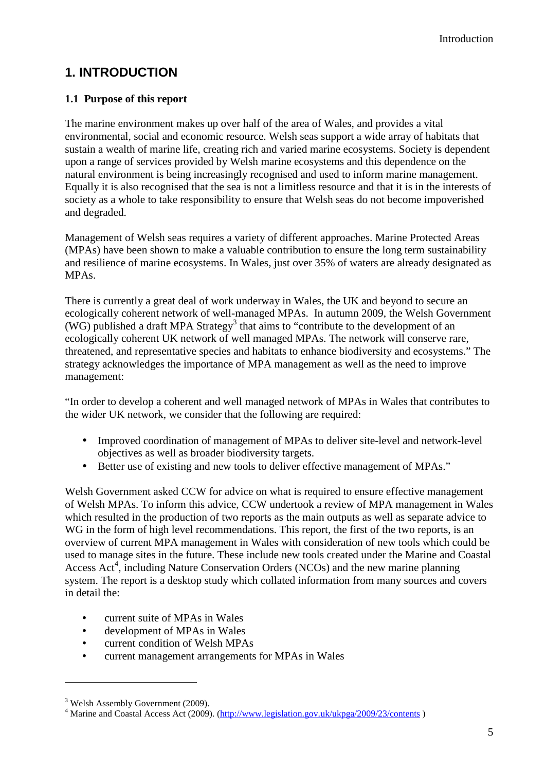# **1. INTRODUCTION**

## **1.1 Purpose of this report**

The marine environment makes up over half of the area of Wales, and provides a vital environmental, social and economic resource. Welsh seas support a wide array of habitats that sustain a wealth of marine life, creating rich and varied marine ecosystems. Society is dependent upon a range of services provided by Welsh marine ecosystems and this dependence on the natural environment is being increasingly recognised and used to inform marine management. Equally it is also recognised that the sea is not a limitless resource and that it is in the interests of society as a whole to take responsibility to ensure that Welsh seas do not become impoverished and degraded.

Management of Welsh seas requires a variety of different approaches. Marine Protected Areas (MPAs) have been shown to make a valuable contribution to ensure the long term sustainability and resilience of marine ecosystems. In Wales, just over 35% of waters are already designated as MPAs.

There is currently a great deal of work underway in Wales, the UK and beyond to secure an ecologically coherent network of well-managed MPAs. In autumn 2009, the Welsh Government  $(WG)$  published a draft MPA Strategy<sup>3</sup> that aims to "contribute to the development of an ecologically coherent UK network of well managed MPAs. The network will conserve rare, threatened, and representative species and habitats to enhance biodiversity and ecosystems." The strategy acknowledges the importance of MPA management as well as the need to improve management:

"In order to develop a coherent and well managed network of MPAs in Wales that contributes to the wider UK network, we consider that the following are required:

- Improved coordination of management of MPAs to deliver site-level and network-level objectives as well as broader biodiversity targets.
- Better use of existing and new tools to deliver effective management of MPAs."

Welsh Government asked CCW for advice on what is required to ensure effective management of Welsh MPAs. To inform this advice, CCW undertook a review of MPA management in Wales which resulted in the production of two reports as the main outputs as well as separate advice to WG in the form of high level recommendations. This report, the first of the two reports, is an overview of current MPA management in Wales with consideration of new tools which could be used to manage sites in the future. These include new tools created under the Marine and Coastal Access Act<sup>4</sup>, including Nature Conservation Orders (NCOs) and the new marine planning system. The report is a desktop study which collated information from many sources and covers in detail the:

- current suite of MPAs in Wales
- development of MPAs in Wales
- current condition of Welsh MPAs
- current management arrangements for MPAs in Wales

<sup>&</sup>lt;sup>3</sup> Welsh Assembly Government (2009).

<sup>&</sup>lt;sup>4</sup> Marine and Coastal Access Act (2009). (http://www.legislation.gov.uk/ukpga/2009/23/contents)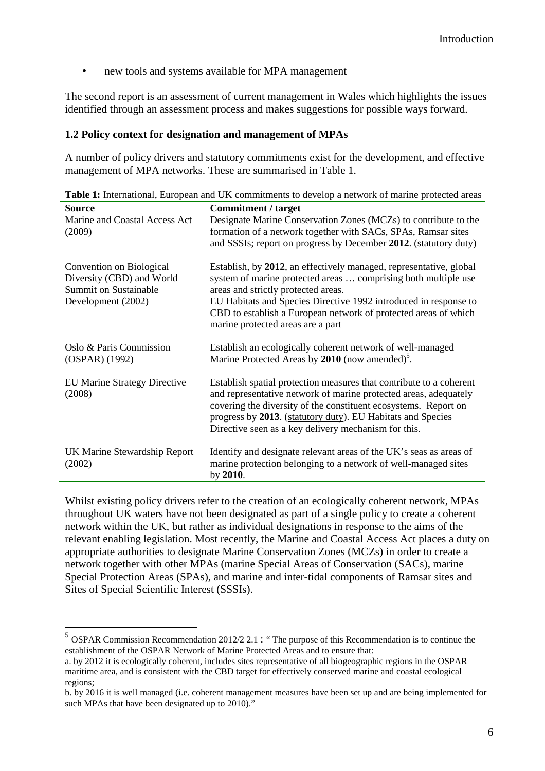• new tools and systems available for MPA management

The second report is an assessment of current management in Wales which highlights the issues identified through an assessment process and makes suggestions for possible ways forward.

#### **1.2 Policy context for designation and management of MPAs**

A number of policy drivers and statutory commitments exist for the development, and effective management of MPA networks. These are summarised in Table 1.

| <b>Source</b>                                                                                               | <b>Commitment / target</b>                                                                                                                                                                                                                                                                                                                              |
|-------------------------------------------------------------------------------------------------------------|---------------------------------------------------------------------------------------------------------------------------------------------------------------------------------------------------------------------------------------------------------------------------------------------------------------------------------------------------------|
| Marine and Coastal Access Act<br>(2009)                                                                     | Designate Marine Conservation Zones (MCZs) to contribute to the<br>formation of a network together with SACs, SPAs, Ramsar sites<br>and SSSIs; report on progress by December 2012. (statutory duty)                                                                                                                                                    |
| Convention on Biological<br>Diversity (CBD) and World<br><b>Summit on Sustainable</b><br>Development (2002) | Establish, by 2012, an effectively managed, representative, global<br>system of marine protected areas  comprising both multiple use<br>areas and strictly protected areas.<br>EU Habitats and Species Directive 1992 introduced in response to<br>CBD to establish a European network of protected areas of which<br>marine protected areas are a part |
| Oslo & Paris Commission<br>(OSPAR) (1992)                                                                   | Establish an ecologically coherent network of well-managed<br>Marine Protected Areas by 2010 (now amended) <sup>5</sup> .                                                                                                                                                                                                                               |
| <b>EU Marine Strategy Directive</b><br>(2008)                                                               | Establish spatial protection measures that contribute to a coherent<br>and representative network of marine protected areas, adequately<br>covering the diversity of the constituent ecosystems. Report on<br>progress by 2013. (statutory duty). EU Habitats and Species<br>Directive seen as a key delivery mechanism for this.                       |
| UK Marine Stewardship Report<br>(2002)                                                                      | Identify and designate relevant areas of the UK's seas as areas of<br>marine protection belonging to a network of well-managed sites<br>by 2010.                                                                                                                                                                                                        |

Table 1: International, European and UK commitments to develop a network of marine protected areas

Whilst existing policy drivers refer to the creation of an ecologically coherent network, MPAs throughout UK waters have not been designated as part of a single policy to create a coherent network within the UK, but rather as individual designations in response to the aims of the relevant enabling legislation. Most recently, the Marine and Coastal Access Act places a duty on appropriate authorities to designate Marine Conservation Zones (MCZs) in order to create a network together with other MPAs (marine Special Areas of Conservation (SACs), marine Special Protection Areas (SPAs), and marine and inter-tidal components of Ramsar sites and Sites of Special Scientific Interest (SSSIs).

 $<sup>5</sup>$  OSPAR Commission Recommendation 2012/2 2.1 : "The purpose of this Recommendation is to continue the</sup> establishment of the OSPAR Network of Marine Protected Areas and to ensure that:

a. by 2012 it is ecologically coherent, includes sites representative of all biogeographic regions in the OSPAR maritime area, and is consistent with the CBD target for effectively conserved marine and coastal ecological regions;

b. by 2016 it is well managed (i.e. coherent management measures have been set up and are being implemented for such MPAs that have been designated up to 2010)."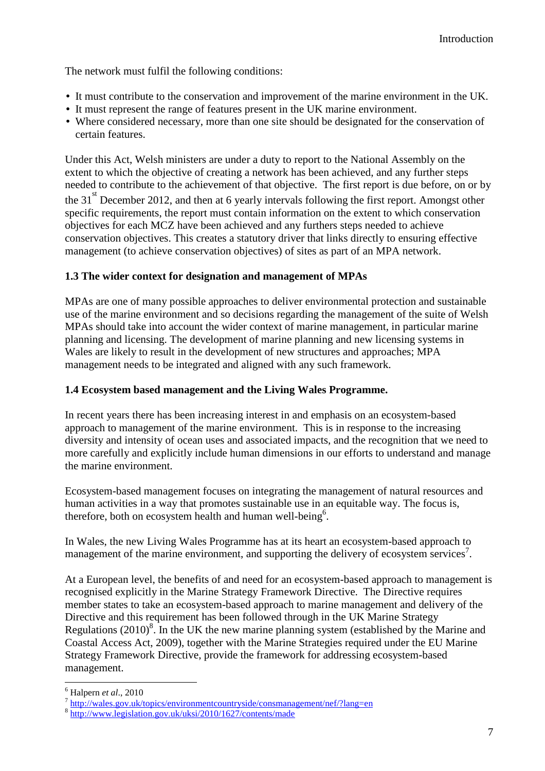The network must fulfil the following conditions:

- It must contribute to the conservation and improvement of the marine environment in the UK.
- It must represent the range of features present in the UK marine environment.
- Where considered necessary, more than one site should be designated for the conservation of certain features.

Under this Act, Welsh ministers are under a duty to report to the National Assembly on the extent to which the objective of creating a network has been achieved, and any further steps needed to contribute to the achievement of that objective. The first report is due before, on or by the 31<sup>st</sup> December 2012, and then at 6 yearly intervals following the first report. Amongst other specific requirements, the report must contain information on the extent to which conservation objectives for each MCZ have been achieved and any furthers steps needed to achieve conservation objectives. This creates a statutory driver that links directly to ensuring effective management (to achieve conservation objectives) of sites as part of an MPA network.

## **1.3 The wider context for designation and management of MPAs**

MPAs are one of many possible approaches to deliver environmental protection and sustainable use of the marine environment and so decisions regarding the management of the suite of Welsh MPAs should take into account the wider context of marine management, in particular marine planning and licensing. The development of marine planning and new licensing systems in Wales are likely to result in the development of new structures and approaches; MPA management needs to be integrated and aligned with any such framework.

## **1.4 Ecosystem based management and the Living Wales Programme.**

In recent years there has been increasing interest in and emphasis on an ecosystem-based approach to management of the marine environment. This is in response to the increasing diversity and intensity of ocean uses and associated impacts, and the recognition that we need to more carefully and explicitly include human dimensions in our efforts to understand and manage the marine environment.

Ecosystem-based management focuses on integrating the management of natural resources and human activities in a way that promotes sustainable use in an equitable way. The focus is, therefore, both on ecosystem health and human well-being<sup>6</sup>.

In Wales, the new Living Wales Programme has at its heart an ecosystem-based approach to management of the marine environment, and supporting the delivery of ecosystem services<sup>7</sup>.

At a European level, the benefits of and need for an ecosystem-based approach to management is recognised explicitly in the Marine Strategy Framework Directive. The Directive requires member states to take an ecosystem-based approach to marine management and delivery of the Directive and this requirement has been followed through in the UK Marine Strategy Regulations  $(2010)^8$ . In the UK the new marine planning system (established by the Marine and Coastal Access Act, 2009), together with the Marine Strategies required under the EU Marine Strategy Framework Directive, provide the framework for addressing ecosystem-based management.

 $\overline{a}$ 6 Halpern *et al*., 2010

<sup>&</sup>lt;sup>7</sup> http://wales.gov.uk/topics/environmentcountryside/consmanagement/nef/?lang=en

<sup>8</sup> http://www.legislation.gov.uk/uksi/2010/1627/contents/made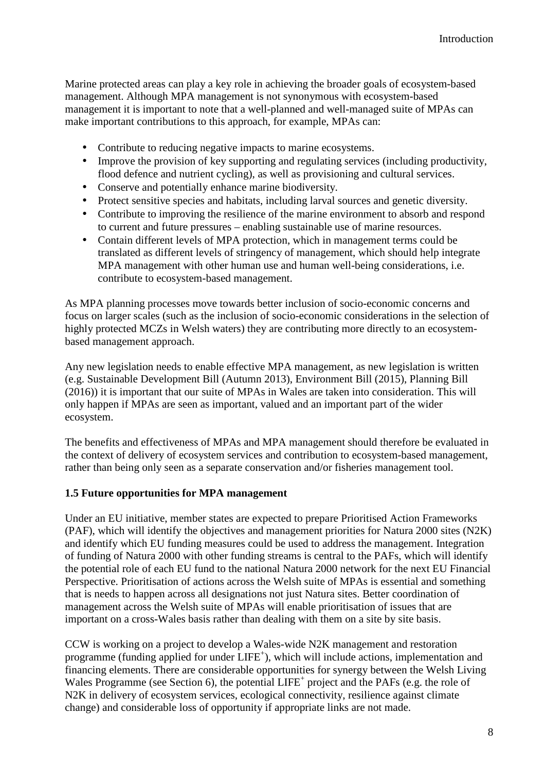Marine protected areas can play a key role in achieving the broader goals of ecosystem-based management. Although MPA management is not synonymous with ecosystem-based management it is important to note that a well-planned and well-managed suite of MPAs can make important contributions to this approach, for example, MPAs can:

- Contribute to reducing negative impacts to marine ecosystems.
- Improve the provision of key supporting and regulating services (including productivity, flood defence and nutrient cycling), as well as provisioning and cultural services.
- Conserve and potentially enhance marine biodiversity.
- Protect sensitive species and habitats, including larval sources and genetic diversity.
- Contribute to improving the resilience of the marine environment to absorb and respond to current and future pressures – enabling sustainable use of marine resources.
- Contain different levels of MPA protection, which in management terms could be translated as different levels of stringency of management, which should help integrate MPA management with other human use and human well-being considerations, i.e. contribute to ecosystem-based management.

As MPA planning processes move towards better inclusion of socio-economic concerns and focus on larger scales (such as the inclusion of socio-economic considerations in the selection of highly protected MCZs in Welsh waters) they are contributing more directly to an ecosystembased management approach.

Any new legislation needs to enable effective MPA management, as new legislation is written (e.g. Sustainable Development Bill (Autumn 2013), Environment Bill (2015), Planning Bill (2016)) it is important that our suite of MPAs in Wales are taken into consideration. This will only happen if MPAs are seen as important, valued and an important part of the wider ecosystem.

The benefits and effectiveness of MPAs and MPA management should therefore be evaluated in the context of delivery of ecosystem services and contribution to ecosystem-based management, rather than being only seen as a separate conservation and/or fisheries management tool.

#### **1.5 Future opportunities for MPA management**

Under an EU initiative, member states are expected to prepare Prioritised Action Frameworks (PAF), which will identify the objectives and management priorities for Natura 2000 sites (N2K) and identify which EU funding measures could be used to address the management. Integration of funding of Natura 2000 with other funding streams is central to the PAFs, which will identify the potential role of each EU fund to the national Natura 2000 network for the next EU Financial Perspective. Prioritisation of actions across the Welsh suite of MPAs is essential and something that is needs to happen across all designations not just Natura sites. Better coordination of management across the Welsh suite of MPAs will enable prioritisation of issues that are important on a cross-Wales basis rather than dealing with them on a site by site basis.

CCW is working on a project to develop a Wales-wide N2K management and restoration programme (funding applied for under LIFE<sup>+</sup>), which will include actions, implementation and financing elements. There are considerable opportunities for synergy between the Welsh Living Wales Programme (see Section 6), the potential LIFE<sup>+</sup> project and the PAFs (e.g. the role of N2K in delivery of ecosystem services, ecological connectivity, resilience against climate change) and considerable loss of opportunity if appropriate links are not made.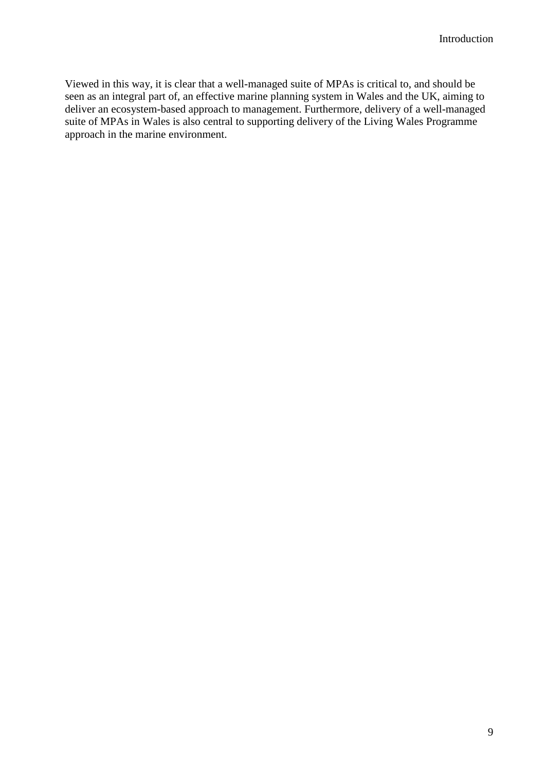Viewed in this way, it is clear that a well-managed suite of MPAs is critical to, and should be seen as an integral part of, an effective marine planning system in Wales and the UK, aiming to deliver an ecosystem-based approach to management. Furthermore, delivery of a well-managed suite of MPAs in Wales is also central to supporting delivery of the Living Wales Programme approach in the marine environment.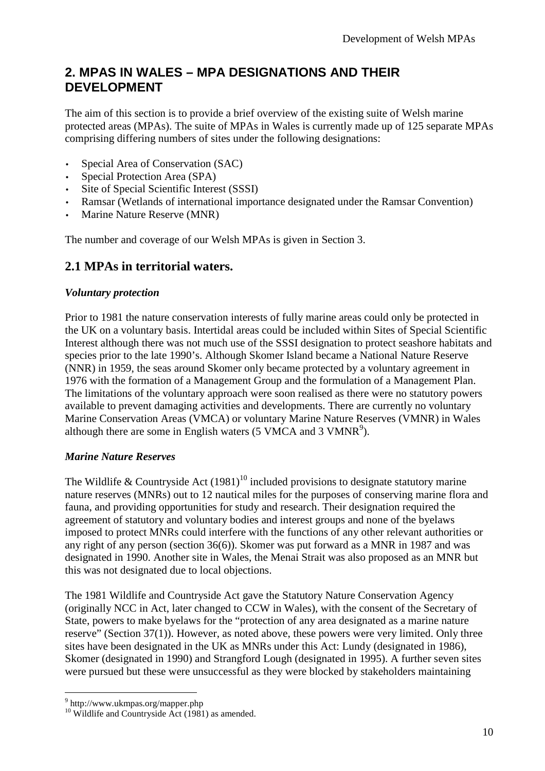## **2. MPAS IN WALES – MPA DESIGNATIONS AND THEIR DEVELOPMENT**

The aim of this section is to provide a brief overview of the existing suite of Welsh marine protected areas (MPAs). The suite of MPAs in Wales is currently made up of 125 separate MPAs comprising differing numbers of sites under the following designations:

- Special Area of Conservation (SAC)
- Special Protection Area (SPA)
- Site of Special Scientific Interest (SSSI)
- Ramsar (Wetlands of international importance designated under the Ramsar Convention)
- Marine Nature Reserve (MNR)

The number and coverage of our Welsh MPAs is given in Section 3.

## **2.1 MPAs in territorial waters.**

## *Voluntary protection*

Prior to 1981 the nature conservation interests of fully marine areas could only be protected in the UK on a voluntary basis. Intertidal areas could be included within Sites of Special Scientific Interest although there was not much use of the SSSI designation to protect seashore habitats and species prior to the late 1990's. Although Skomer Island became a National Nature Reserve (NNR) in 1959, the seas around Skomer only became protected by a voluntary agreement in 1976 with the formation of a Management Group and the formulation of a Management Plan. The limitations of the voluntary approach were soon realised as there were no statutory powers available to prevent damaging activities and developments. There are currently no voluntary Marine Conservation Areas (VMCA) or voluntary Marine Nature Reserves (VMNR) in Wales although there are some in English waters (5 VMCA and 3 VMNR<sup>9</sup>).

## *Marine Nature Reserves*

The Wildlife & Countryside Act  $(1981)^{10}$  included provisions to designate statutory marine nature reserves (MNRs) out to 12 nautical miles for the purposes of conserving marine flora and fauna, and providing opportunities for study and research. Their designation required the agreement of statutory and voluntary bodies and interest groups and none of the byelaws imposed to protect MNRs could interfere with the functions of any other relevant authorities or any right of any person (section 36(6)). Skomer was put forward as a MNR in 1987 and was designated in 1990. Another site in Wales, the Menai Strait was also proposed as an MNR but this was not designated due to local objections.

The 1981 Wildlife and Countryside Act gave the Statutory Nature Conservation Agency (originally NCC in Act, later changed to CCW in Wales), with the consent of the Secretary of State, powers to make byelaws for the "protection of any area designated as a marine nature reserve" (Section 37(1)). However, as noted above, these powers were very limited. Only three sites have been designated in the UK as MNRs under this Act: Lundy (designated in 1986), Skomer (designated in 1990) and Strangford Lough (designated in 1995). A further seven sites were pursued but these were unsuccessful as they were blocked by stakeholders maintaining

<sup>&</sup>lt;sup>9</sup> http://www.ukmpas.org/mapper.php

 $^{10}$  Wildlife and Countryside Act (1981) as amended.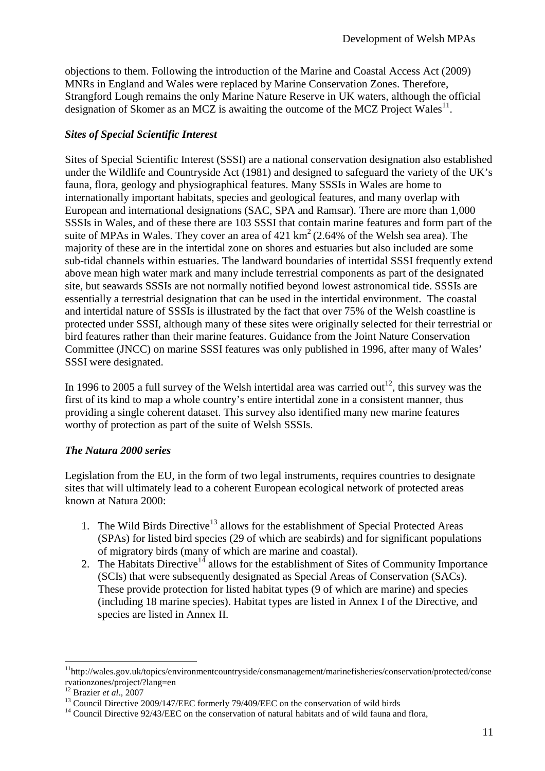objections to them. Following the introduction of the Marine and Coastal Access Act (2009) MNRs in England and Wales were replaced by Marine Conservation Zones. Therefore, Strangford Lough remains the only Marine Nature Reserve in UK waters, although the official designation of Skomer as an MCZ is awaiting the outcome of the MCZ Project Wales<sup>11</sup>.

## *Sites of Special Scientific Interest*

Sites of Special Scientific Interest (SSSI) are a national conservation designation also established under the Wildlife and Countryside Act (1981) and designed to safeguard the variety of the UK's fauna, flora, geology and physiographical features. Many SSSIs in Wales are home to internationally important habitats, species and geological features, and many overlap with European and international designations (SAC, SPA and Ramsar). There are more than 1,000 SSSIs in Wales, and of these there are 103 SSSI that contain marine features and form part of the suite of MPAs in Wales. They cover an area of  $421 \text{ km}^2$  (2.64% of the Welsh sea area). The majority of these are in the intertidal zone on shores and estuaries but also included are some sub-tidal channels within estuaries. The landward boundaries of intertidal SSSI frequently extend above mean high water mark and many include terrestrial components as part of the designated site, but seawards SSSIs are not normally notified beyond lowest astronomical tide. SSSIs are essentially a terrestrial designation that can be used in the intertidal environment. The coastal and intertidal nature of SSSIs is illustrated by the fact that over 75% of the Welsh coastline is protected under SSSI, although many of these sites were originally selected for their terrestrial or bird features rather than their marine features. Guidance from the Joint Nature Conservation Committee (JNCC) on marine SSSI features was only published in 1996, after many of Wales' SSSI were designated.

In 1996 to 2005 a full survey of the Welsh intertidal area was carried out<sup>12</sup>, this survey was the first of its kind to map a whole country's entire intertidal zone in a consistent manner, thus providing a single coherent dataset. This survey also identified many new marine features worthy of protection as part of the suite of Welsh SSSIs.

## *The Natura 2000 series*

Legislation from the EU, in the form of two legal instruments, requires countries to designate sites that will ultimately lead to a coherent European ecological network of protected areas known at Natura 2000:

- 1. The Wild Birds Directive<sup>13</sup> allows for the establishment of Special Protected Areas (SPAs) for listed bird species (29 of which are seabirds) and for significant populations of migratory birds (many of which are marine and coastal).
- 2. The Habitats Directive<sup>14</sup> allows for the establishment of Sites of Community Importance (SCIs) that were subsequently designated as Special Areas of Conservation (SACs). These provide protection for listed habitat types (9 of which are marine) and species (including 18 marine species). Habitat types are listed in Annex I of the Directive, and species are listed in Annex II.

<sup>11</sup>http://wales.gov.uk/topics/environmentcountryside/consmanagement/marinefisheries/conservation/protected/conse rvationzones/project/?lang=en

<sup>12</sup> Brazier *et al*., 2007

<sup>&</sup>lt;sup>13</sup> Council Directive 2009/147/EEC formerly 79/409/EEC on the conservation of wild birds

<sup>&</sup>lt;sup>14</sup> Council Directive 92/43/EEC on the conservation of natural habitats and of wild fauna and flora,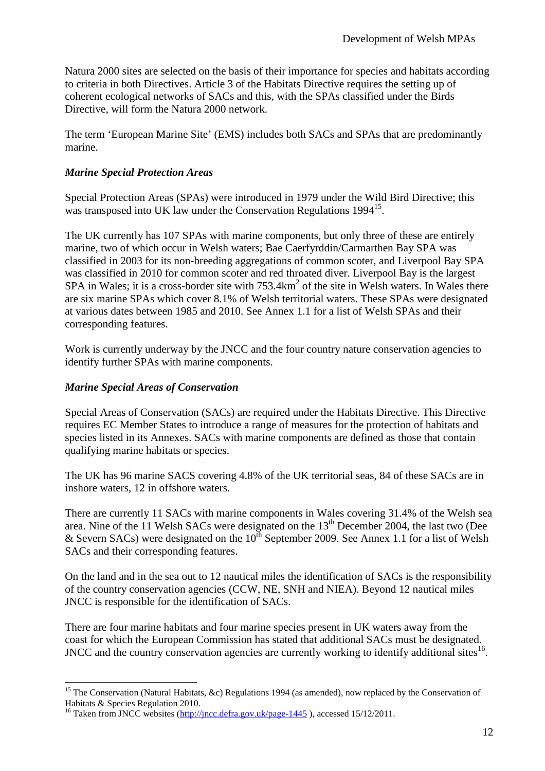Natura 2000 sites are selected on the basis of their importance for species and habitats according to criteria in both Directives. Article 3 of the Habitats Directive requires the setting up of coherent ecological networks of SACs and this, with the SPAs classified under the Birds Directive, will form the Natura 2000 network.

The term 'European Marine Site' (EMS) includes both SACs and SPAs that are predominantly marine.

## *Marine Special Protection Areas*

Special Protection Areas (SPAs) were introduced in 1979 under the Wild Bird Directive; this was transposed into UK law under the Conservation Regulations 1994<sup>15</sup>.

The UK currently has 107 SPAs with marine components, but only three of these are entirely marine, two of which occur in Welsh waters; Bae Caerfyrddin/Carmarthen Bay SPA was classified in 2003 for its non-breeding aggregations of common scoter, and Liverpool Bay SPA was classified in 2010 for common scoter and red throated diver. Liverpool Bay is the largest SPA in Wales; it is a cross-border site with  $753.4 \text{km}^2$  of the site in Welsh waters. In Wales there are six marine SPAs which cover 8.1% of Welsh territorial waters. These SPAs were designated at various dates between 1985 and 2010. See Annex 1.1 for a list of Welsh SPAs and their corresponding features.

Work is currently underway by the JNCC and the four country nature conservation agencies to identify further SPAs with marine components.

## *Marine Special Areas of Conservation*

Special Areas of Conservation (SACs) are required under the Habitats Directive. This Directive requires EC Member States to introduce a range of measures for the protection of habitats and species listed in its Annexes. SACs with marine components are defined as those that contain qualifying marine habitats or species.

The UK has 96 marine SACS covering 4.8% of the UK territorial seas, 84 of these SACs are in inshore waters, 12 in offshore waters.

There are currently 11 SACs with marine components in Wales covering 31.4% of the Welsh sea area. Nine of the 11 Welsh SACs were designated on the  $13<sup>th</sup>$  December 2004, the last two (Dee & Severn SACs) were designated on the  $10^{th}$  September 2009. See Annex 1.1 for a list of Welsh SACs and their corresponding features.

On the land and in the sea out to 12 nautical miles the identification of SACs is the responsibility of the country conservation agencies (CCW, NE, SNH and NIEA). Beyond 12 nautical miles JNCC is responsible for the identification of SACs.

There are four marine habitats and four marine species present in UK waters away from the coast for which the European Commission has stated that additional SACs must be designated. JNCC and the country conservation agencies are currently working to identify additional sites $^{16}$ .

 $\overline{a}$ <sup>15</sup> The Conservation (Natural Habitats, &c) Regulations 1994 (as amended), now replaced by the Conservation of Habitats & Species Regulation 2010.

<sup>&</sup>lt;sup>16</sup> Taken from JNCC websites (http://jncc.defra.gov.uk/page-1445), accessed 15/12/2011.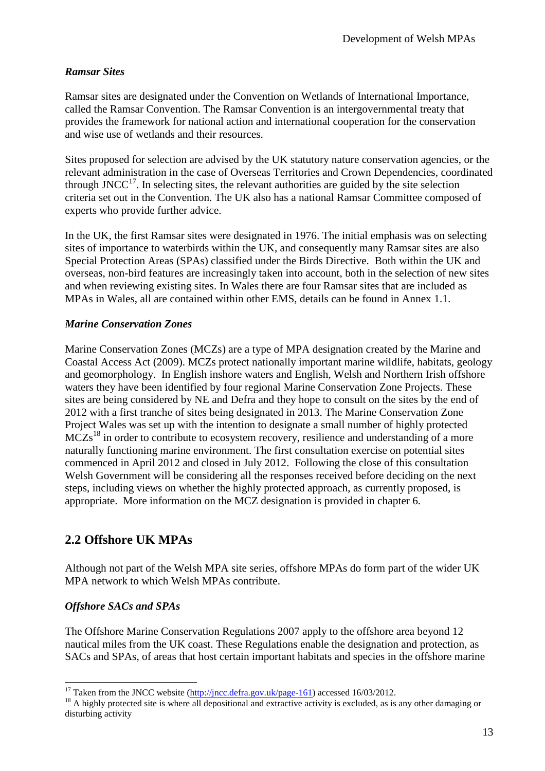## *Ramsar Sites*

Ramsar sites are designated under the Convention on Wetlands of International Importance, called the Ramsar Convention. The Ramsar Convention is an intergovernmental treaty that provides the framework for national action and international cooperation for the conservation and wise use of wetlands and their resources.

Sites proposed for selection are advised by the UK statutory nature conservation agencies, or the relevant administration in the case of Overseas Territories and Crown Dependencies, coordinated through JNCC $^{17}$ . In selecting sites, the relevant authorities are guided by the site selection criteria set out in the Convention. The UK also has a national Ramsar Committee composed of experts who provide further advice.

In the UK, the first Ramsar sites were designated in 1976. The initial emphasis was on selecting sites of importance to waterbirds within the UK, and consequently many Ramsar sites are also Special Protection Areas (SPAs) classified under the Birds Directive. Both within the UK and overseas, non-bird features are increasingly taken into account, both in the selection of new sites and when reviewing existing sites. In Wales there are four Ramsar sites that are included as MPAs in Wales, all are contained within other EMS, details can be found in Annex 1.1.

## *Marine Conservation Zones*

Marine Conservation Zones (MCZs) are a type of MPA designation created by the Marine and Coastal Access Act (2009). MCZs protect nationally important marine wildlife, habitats, geology and geomorphology. In English inshore waters and English, Welsh and Northern Irish offshore waters they have been identified by four regional Marine Conservation Zone Projects. These sites are being considered by NE and Defra and they hope to consult on the sites by the end of 2012 with a first tranche of sites being designated in 2013. The Marine Conservation Zone Project Wales was set up with the intention to designate a small number of highly protected  $MCZs<sup>18</sup>$  in order to contribute to ecosystem recovery, resilience and understanding of a more naturally functioning marine environment. The first consultation exercise on potential sites commenced in April 2012 and closed in July 2012. Following the close of this consultation Welsh Government will be considering all the responses received before deciding on the next steps, including views on whether the highly protected approach, as currently proposed, is appropriate. More information on the MCZ designation is provided in chapter 6.

## **2.2 Offshore UK MPAs**

Although not part of the Welsh MPA site series, offshore MPAs do form part of the wider UK MPA network to which Welsh MPAs contribute.

## *Offshore SACs and SPAs*

The Offshore Marine Conservation Regulations 2007 apply to the offshore area beyond 12 nautical miles from the UK coast. These Regulations enable the designation and protection, as SACs and SPAs, of areas that host certain important habitats and species in the offshore marine

 $\overline{a}$ <sup>17</sup> Taken from the JNCC website  $(\frac{http://jnc.defra.gov.uk/page-161})$  accessed 16/03/2012.

<sup>&</sup>lt;sup>18</sup> A highly protected site is where all depositional and extractive activity is excluded, as is any other damaging or disturbing activity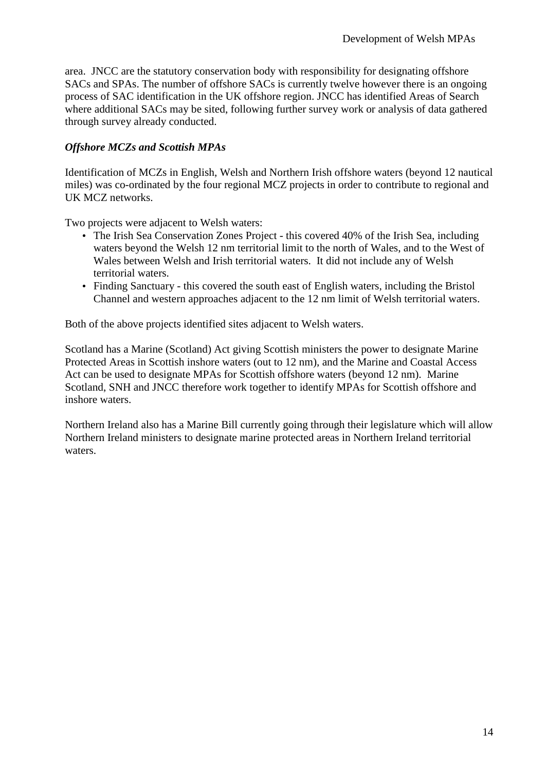area. JNCC are the statutory conservation body with responsibility for designating offshore SACs and SPAs. The number of offshore SACs is currently twelve however there is an ongoing process of SAC identification in the UK offshore region. JNCC has identified Areas of Search where additional SACs may be sited, following further survey work or analysis of data gathered through survey already conducted.

## *Offshore MCZs and Scottish MPAs*

Identification of MCZs in English, Welsh and Northern Irish offshore waters (beyond 12 nautical miles) was co-ordinated by the four regional MCZ projects in order to contribute to regional and UK MCZ networks.

Two projects were adjacent to Welsh waters:

- The Irish Sea Conservation Zones Project this covered 40% of the Irish Sea, including waters beyond the Welsh 12 nm territorial limit to the north of Wales, and to the West of Wales between Welsh and Irish territorial waters. It did not include any of Welsh territorial waters.
- Finding Sanctuary this covered the south east of English waters, including the Bristol Channel and western approaches adjacent to the 12 nm limit of Welsh territorial waters.

Both of the above projects identified sites adjacent to Welsh waters.

Scotland has a Marine (Scotland) Act giving Scottish ministers the power to designate Marine Protected Areas in Scottish inshore waters (out to 12 nm), and the Marine and Coastal Access Act can be used to designate MPAs for Scottish offshore waters (beyond 12 nm). Marine Scotland, SNH and JNCC therefore work together to identify MPAs for Scottish offshore and inshore waters.

Northern Ireland also has a Marine Bill currently going through their legislature which will allow Northern Ireland ministers to designate marine protected areas in Northern Ireland territorial waters.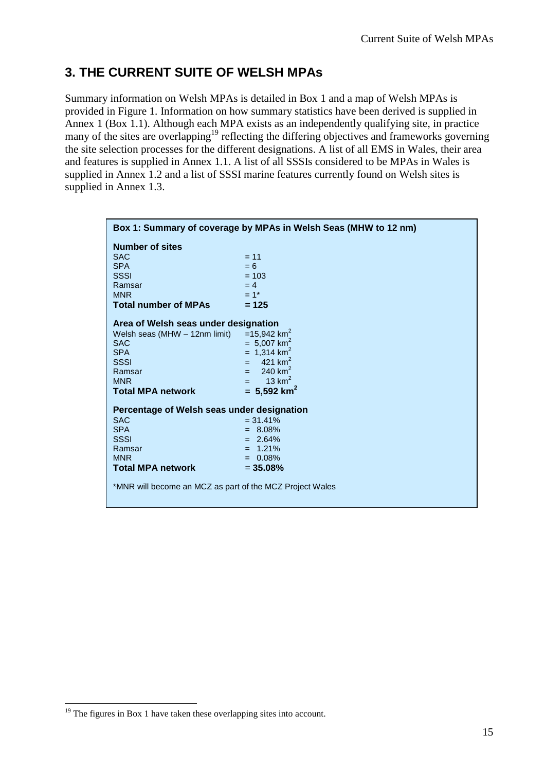# **3. THE CURRENT SUITE OF WELSH MPAs**

Summary information on Welsh MPAs is detailed in Box 1 and a map of Welsh MPAs is provided in Figure 1. Information on how summary statistics have been derived is supplied in Annex 1 (Box 1.1). Although each MPA exists as an independently qualifying site, in practice many of the sites are overlapping<sup>19</sup> reflecting the differing objectives and frameworks governing the site selection processes for the different designations. A list of all EMS in Wales, their area and features is supplied in Annex 1.1. A list of all SSSIs considered to be MPAs in Wales is supplied in Annex 1.2 and a list of SSSI marine features currently found on Welsh sites is supplied in Annex 1.3.

| Box 1: Summary of coverage by MPAs in Welsh Seas (MHW to 12 nm) |                           |  |  |  |  |
|-----------------------------------------------------------------|---------------------------|--|--|--|--|
| <b>Number of sites</b>                                          |                           |  |  |  |  |
| <b>SAC</b>                                                      | $= 11$                    |  |  |  |  |
| <b>SPA</b>                                                      | $= 6$                     |  |  |  |  |
| <b>SSSI</b>                                                     | $= 103$                   |  |  |  |  |
| Ramsar                                                          | $= 4$                     |  |  |  |  |
| <b>MNR</b>                                                      | $= 1*$                    |  |  |  |  |
| <b>Total number of MPAs</b>                                     | $= 125$                   |  |  |  |  |
| Area of Welsh seas under designation                            |                           |  |  |  |  |
| Welsh seas (MHW - 12nm limit)                                   | $=15,942$ km <sup>2</sup> |  |  |  |  |
| <b>SAC</b>                                                      | $= 5,007$ km <sup>2</sup> |  |  |  |  |
| <b>SPA</b>                                                      | $= 1,314$ km <sup>2</sup> |  |  |  |  |
| <b>SSSI</b>                                                     | $= 421 \text{ km}^2$      |  |  |  |  |
| Ramsar                                                          | $= 240$ km <sup>2</sup>   |  |  |  |  |
| <b>MNR</b>                                                      | $= 13 \text{ km}^2$       |  |  |  |  |
| <b>Total MPA network</b>                                        | $= 5,592$ km <sup>2</sup> |  |  |  |  |
| Percentage of Welsh seas under designation                      |                           |  |  |  |  |
| <b>SAC</b>                                                      | $= 31.41\%$               |  |  |  |  |
| <b>SPA</b>                                                      | $= 8.08\%$                |  |  |  |  |
| <b>SSSI</b>                                                     | $= 2.64\%$                |  |  |  |  |
| Ramsar                                                          | $= 1.21\%$                |  |  |  |  |
| <b>MNR</b>                                                      | $= 0.08\%$                |  |  |  |  |
| <b>Total MPA network</b>                                        | $= 35.08%$                |  |  |  |  |
| *MNR will become an MCZ as part of the MCZ Project Wales        |                           |  |  |  |  |

<sup>&</sup>lt;sup>19</sup> The figures in Box 1 have taken these overlapping sites into account.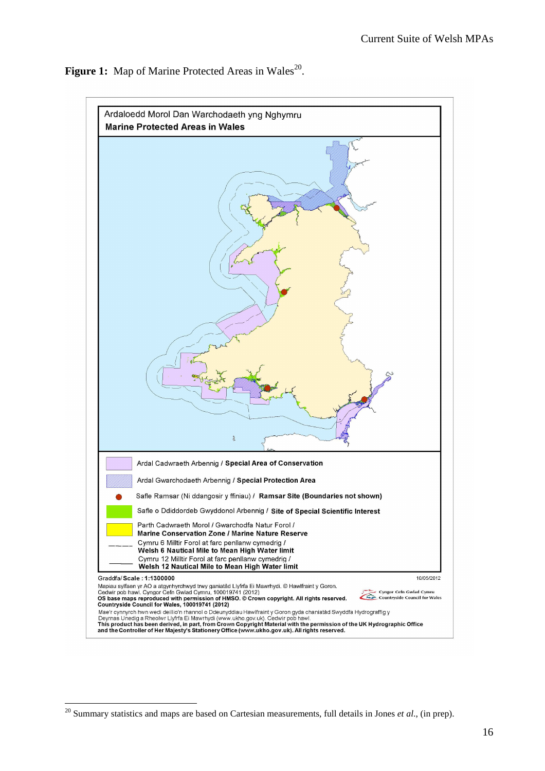

**Figure 1:** Map of Marine Protected Areas in Wales<sup>20</sup>.

<sup>&</sup>lt;sup>20</sup> Summary statistics and maps are based on Cartesian measurements, full details in Jones *et al.*, (in prep).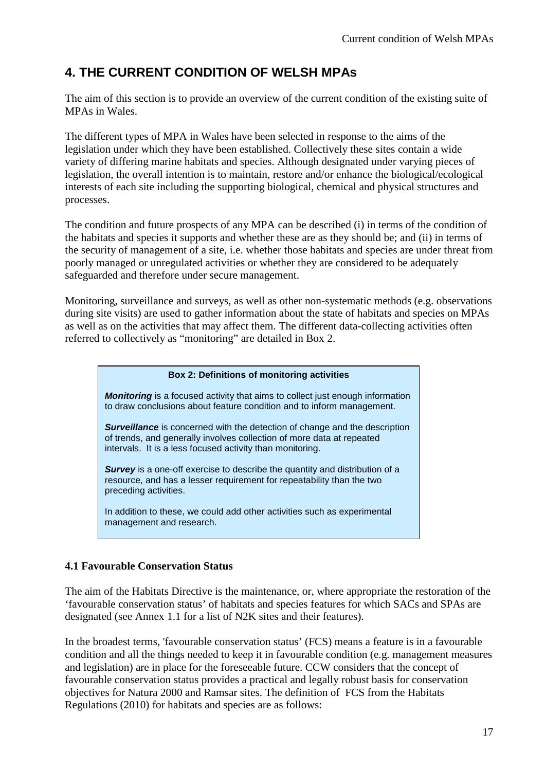# **4. THE CURRENT CONDITION OF WELSH MPAs**

The aim of this section is to provide an overview of the current condition of the existing suite of MPAs in Wales.

The different types of MPA in Wales have been selected in response to the aims of the legislation under which they have been established. Collectively these sites contain a wide variety of differing marine habitats and species. Although designated under varying pieces of legislation, the overall intention is to maintain, restore and/or enhance the biological/ecological interests of each site including the supporting biological, chemical and physical structures and processes.

The condition and future prospects of any MPA can be described (i) in terms of the condition of the habitats and species it supports and whether these are as they should be; and (ii) in terms of the security of management of a site, i.e. whether those habitats and species are under threat from poorly managed or unregulated activities or whether they are considered to be adequately safeguarded and therefore under secure management.

Monitoring, surveillance and surveys, as well as other non-systematic methods (e.g. observations during site visits) are used to gather information about the state of habitats and species on MPAs as well as on the activities that may affect them. The different data-collecting activities often referred to collectively as "monitoring" are detailed in Box 2.

#### **Box 2: Definitions of monitoring activities**

**Monitoring** is a focused activity that aims to collect just enough information to draw conclusions about feature condition and to inform management.

**Surveillance** is concerned with the detection of change and the description of trends, and generally involves collection of more data at repeated intervals. It is a less focused activity than monitoring.

**Survey** is a one-off exercise to describe the quantity and distribution of a resource, and has a lesser requirement for repeatability than the two preceding activities.

In addition to these, we could add other activities such as experimental management and research.

## **4.1 Favourable Conservation Status**

The aim of the Habitats Directive is the maintenance, or, where appropriate the restoration of the 'favourable conservation status' of habitats and species features for which SACs and SPAs are designated (see Annex 1.1 for a list of N2K sites and their features).

In the broadest terms, 'favourable conservation status' (FCS) means a feature is in a favourable condition and all the things needed to keep it in favourable condition (e.g. management measures and legislation) are in place for the foreseeable future. CCW considers that the concept of favourable conservation status provides a practical and legally robust basis for conservation objectives for Natura 2000 and Ramsar sites. The definition of FCS from the Habitats Regulations (2010) for habitats and species are as follows: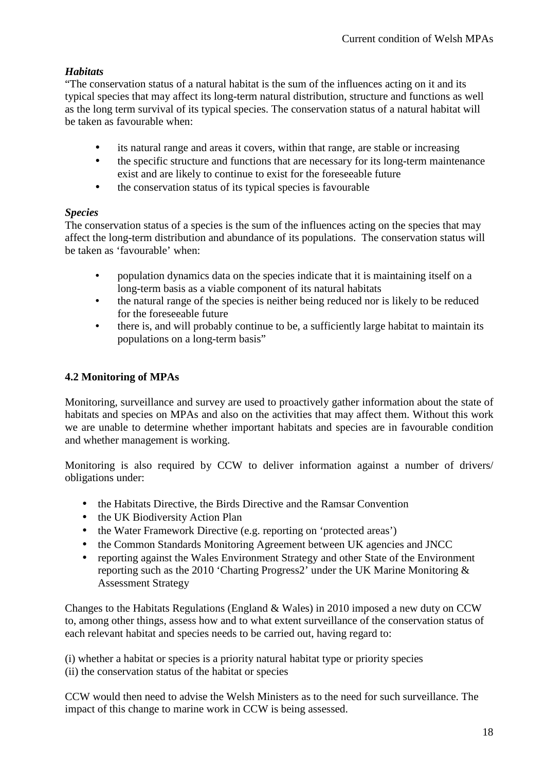## *Habitats*

"The conservation status of a natural habitat is the sum of the influences acting on it and its typical species that may affect its long-term natural distribution, structure and functions as well as the long term survival of its typical species. The conservation status of a natural habitat will be taken as favourable when:

- its natural range and areas it covers, within that range, are stable or increasing
- the specific structure and functions that are necessary for its long-term maintenance exist and are likely to continue to exist for the foreseeable future
- the conservation status of its typical species is favourable

## *Species*

The conservation status of a species is the sum of the influences acting on the species that may affect the long-term distribution and abundance of its populations. The conservation status will be taken as 'favourable' when:

- population dynamics data on the species indicate that it is maintaining itself on a long-term basis as a viable component of its natural habitats
- the natural range of the species is neither being reduced nor is likely to be reduced for the foreseeable future
- there is, and will probably continue to be, a sufficiently large habitat to maintain its populations on a long-term basis"

## **4.2 Monitoring of MPAs**

Monitoring, surveillance and survey are used to proactively gather information about the state of habitats and species on MPAs and also on the activities that may affect them. Without this work we are unable to determine whether important habitats and species are in favourable condition and whether management is working.

Monitoring is also required by CCW to deliver information against a number of drivers/ obligations under:

- the Habitats Directive, the Birds Directive and the Ramsar Convention
- the UK Biodiversity Action Plan
- the Water Framework Directive (e.g. reporting on 'protected areas')
- the Common Standards Monitoring Agreement between UK agencies and JNCC
- reporting against the Wales Environment Strategy and other State of the Environment reporting such as the 2010 'Charting Progress2' under the UK Marine Monitoring & Assessment Strategy

Changes to the Habitats Regulations (England & Wales) in 2010 imposed a new duty on CCW to, among other things, assess how and to what extent surveillance of the conservation status of each relevant habitat and species needs to be carried out, having regard to:

(i) whether a habitat or species is a priority natural habitat type or priority species (ii) the conservation status of the habitat or species

CCW would then need to advise the Welsh Ministers as to the need for such surveillance. The impact of this change to marine work in CCW is being assessed.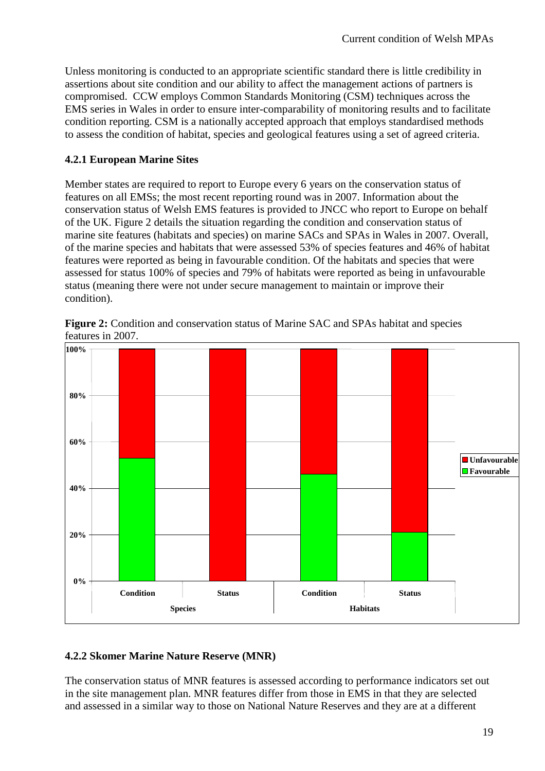Unless monitoring is conducted to an appropriate scientific standard there is little credibility in assertions about site condition and our ability to affect the management actions of partners is compromised. CCW employs Common Standards Monitoring (CSM) techniques across the EMS series in Wales in order to ensure inter-comparability of monitoring results and to facilitate condition reporting. CSM is a nationally accepted approach that employs standardised methods to assess the condition of habitat, species and geological features using a set of agreed criteria.

## **4.2.1 European Marine Sites**

Member states are required to report to Europe every 6 years on the conservation status of features on all EMSs; the most recent reporting round was in 2007. Information about the conservation status of Welsh EMS features is provided to JNCC who report to Europe on behalf of the UK. Figure 2 details the situation regarding the condition and conservation status of marine site features (habitats and species) on marine SACs and SPAs in Wales in 2007. Overall, of the marine species and habitats that were assessed 53% of species features and 46% of habitat features were reported as being in favourable condition. Of the habitats and species that were assessed for status 100% of species and 79% of habitats were reported as being in unfavourable status (meaning there were not under secure management to maintain or improve their condition).

**Figure 2:** Condition and conservation status of Marine SAC and SPAs habitat and species features in 2007.



## **4.2.2 Skomer Marine Nature Reserve (MNR)**

The conservation status of MNR features is assessed according to performance indicators set out in the site management plan. MNR features differ from those in EMS in that they are selected and assessed in a similar way to those on National Nature Reserves and they are at a different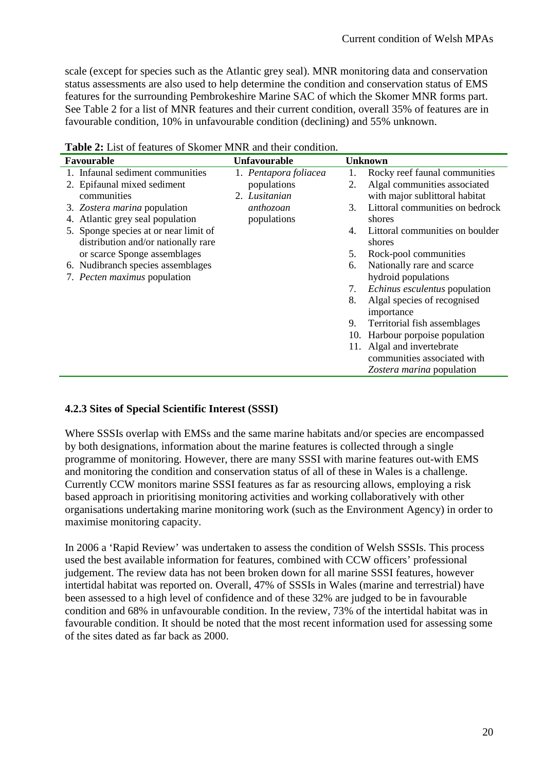scale (except for species such as the Atlantic grey seal). MNR monitoring data and conservation status assessments are also used to help determine the condition and conservation status of EMS features for the surrounding Pembrokeshire Marine SAC of which the Skomer MNR forms part. See Table 2 for a list of MNR features and their current condition, overall 35% of features are in favourable condition, 10% in unfavourable condition (declining) and 55% unknown.

| Favourable                            | <b>Unfavourable</b>   |    | <b>Unknown</b>                  |
|---------------------------------------|-----------------------|----|---------------------------------|
| 1. Infaunal sediment communities      | 1. Pentapora foliacea |    | Rocky reef faunal communities   |
| 2. Epifaunal mixed sediment           | populations           | 2. | Algal communities associated    |
| communities                           | 2. Lusitanian         |    | with major sublittoral habitat  |
| 3. Zostera marina population          | anthozoan             | 3. | Littoral communities on bedrock |
| 4. Atlantic grey seal population      | populations           |    | shores                          |
| 5. Sponge species at or near limit of |                       | 4. | Littoral communities on boulder |
| distribution and/or nationally rare   |                       |    | shores                          |
| or scarce Sponge assemblages          |                       | 5. | Rock-pool communities           |
| 6. Nudibranch species assemblages     |                       | 6. | Nationally rare and scarce      |
| 7. Pecten maximus population          |                       |    | hydroid populations             |
|                                       |                       | 7. | Echinus esculentus population   |
|                                       |                       | 8. | Algal species of recognised     |
|                                       |                       |    | importance                      |
|                                       |                       | 9. | Territorial fish assemblages    |
|                                       |                       |    | 10. Harbour porpoise population |
|                                       |                       |    | 11. Algal and invertebrate      |
|                                       |                       |    | communities associated with     |
|                                       |                       |    | Zostera marina population       |

**Table 2:** List of features of Skomer MNR and their condition.

## **4.2.3 Sites of Special Scientific Interest (SSSI)**

Where SSSIs overlap with EMSs and the same marine habitats and/or species are encompassed by both designations, information about the marine features is collected through a single programme of monitoring. However, there are many SSSI with marine features out-with EMS and monitoring the condition and conservation status of all of these in Wales is a challenge. Currently CCW monitors marine SSSI features as far as resourcing allows, employing a risk based approach in prioritising monitoring activities and working collaboratively with other organisations undertaking marine monitoring work (such as the Environment Agency) in order to maximise monitoring capacity.

In 2006 a 'Rapid Review' was undertaken to assess the condition of Welsh SSSIs. This process used the best available information for features, combined with CCW officers' professional judgement. The review data has not been broken down for all marine SSSI features, however intertidal habitat was reported on. Overall, 47% of SSSIs in Wales (marine and terrestrial) have been assessed to a high level of confidence and of these 32% are judged to be in favourable condition and 68% in unfavourable condition. In the review, 73% of the intertidal habitat was in favourable condition. It should be noted that the most recent information used for assessing some of the sites dated as far back as 2000.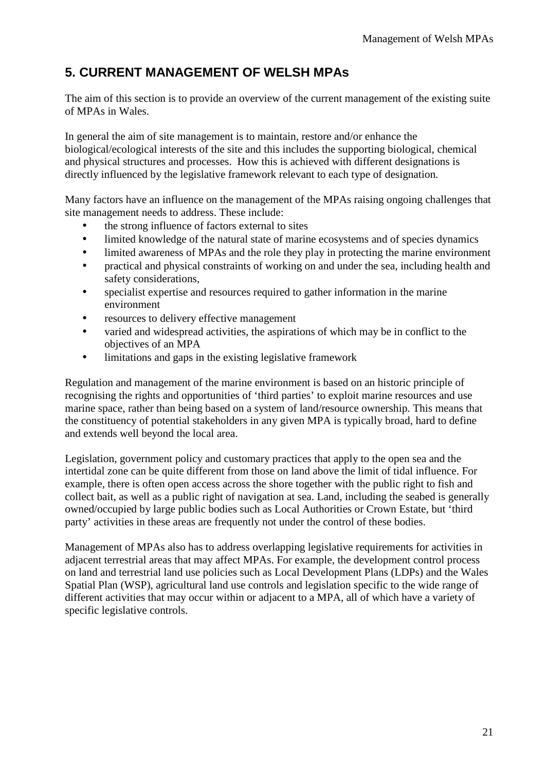## **5. CURRENT MANAGEMENT OF WELSH MPAs**

The aim of this section is to provide an overview of the current management of the existing suite of MPAs in Wales.

In general the aim of site management is to maintain, restore and/or enhance the biological/ecological interests of the site and this includes the supporting biological, chemical and physical structures and processes. How this is achieved with different designations is directly influenced by the legislative framework relevant to each type of designation.

Many factors have an influence on the management of the MPAs raising ongoing challenges that site management needs to address. These include:

- the strong influence of factors external to sites
- limited knowledge of the natural state of marine ecosystems and of species dynamics
- limited awareness of MPAs and the role they play in protecting the marine environment
- practical and physical constraints of working on and under the sea, including health and safety considerations,
- specialist expertise and resources required to gather information in the marine environment
- resources to delivery effective management
- varied and widespread activities, the aspirations of which may be in conflict to the objectives of an MPA
- limitations and gaps in the existing legislative framework

Regulation and management of the marine environment is based on an historic principle of recognising the rights and opportunities of 'third parties' to exploit marine resources and use marine space, rather than being based on a system of land/resource ownership. This means that the constituency of potential stakeholders in any given MPA is typically broad, hard to define and extends well beyond the local area.

Legislation, government policy and customary practices that apply to the open sea and the intertidal zone can be quite different from those on land above the limit of tidal influence. For example, there is often open access across the shore together with the public right to fish and collect bait, as well as a public right of navigation at sea. Land, including the seabed is generally owned/occupied by large public bodies such as Local Authorities or Crown Estate, but 'third party' activities in these areas are frequently not under the control of these bodies.

Management of MPAs also has to address overlapping legislative requirements for activities in adjacent terrestrial areas that may affect MPAs. For example, the development control process on land and terrestrial land use policies such as Local Development Plans (LDPs) and the Wales Spatial Plan (WSP), agricultural land use controls and legislation specific to the wide range of different activities that may occur within or adjacent to a MPA, all of which have a variety of specific legislative controls.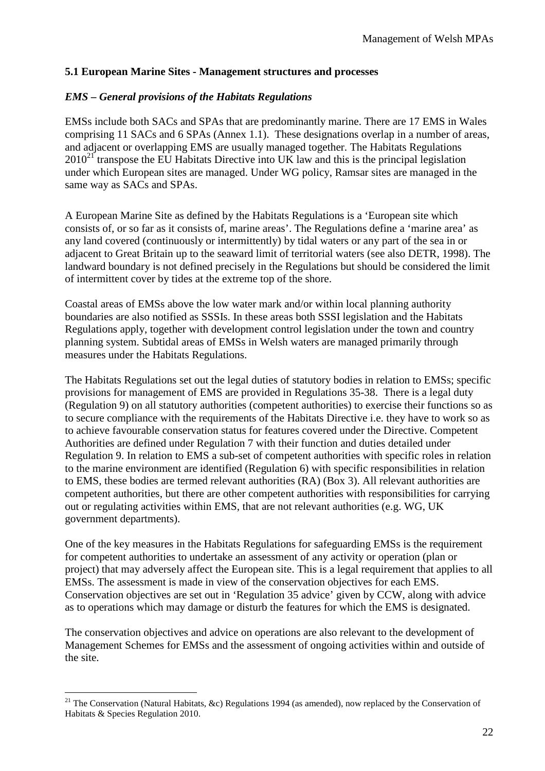## **5.1 European Marine Sites - Management structures and processes**

### *EMS – General provisions of the Habitats Regulations*

EMSs include both SACs and SPAs that are predominantly marine. There are 17 EMS in Wales comprising 11 SACs and 6 SPAs (Annex 1.1). These designations overlap in a number of areas, and adjacent or overlapping EMS are usually managed together. The Habitats Regulations  $2010^{21}$  transpose the EU Habitats Directive into UK law and this is the principal legislation under which European sites are managed. Under WG policy, Ramsar sites are managed in the same way as SACs and SPAs.

A European Marine Site as defined by the Habitats Regulations is a 'European site which consists of, or so far as it consists of, marine areas'. The Regulations define a 'marine area' as any land covered (continuously or intermittently) by tidal waters or any part of the sea in or adjacent to Great Britain up to the seaward limit of territorial waters (see also DETR, 1998). The landward boundary is not defined precisely in the Regulations but should be considered the limit of intermittent cover by tides at the extreme top of the shore.

Coastal areas of EMSs above the low water mark and/or within local planning authority boundaries are also notified as SSSIs. In these areas both SSSI legislation and the Habitats Regulations apply, together with development control legislation under the town and country planning system. Subtidal areas of EMSs in Welsh waters are managed primarily through measures under the Habitats Regulations.

The Habitats Regulations set out the legal duties of statutory bodies in relation to EMSs; specific provisions for management of EMS are provided in Regulations 35-38. There is a legal duty (Regulation 9) on all statutory authorities (competent authorities) to exercise their functions so as to secure compliance with the requirements of the Habitats Directive i.e. they have to work so as to achieve favourable conservation status for features covered under the Directive. Competent Authorities are defined under Regulation 7 with their function and duties detailed under Regulation 9. In relation to EMS a sub-set of competent authorities with specific roles in relation to the marine environment are identified (Regulation 6) with specific responsibilities in relation to EMS, these bodies are termed relevant authorities (RA) (Box 3). All relevant authorities are competent authorities, but there are other competent authorities with responsibilities for carrying out or regulating activities within EMS, that are not relevant authorities (e.g. WG, UK government departments).

One of the key measures in the Habitats Regulations for safeguarding EMSs is the requirement for competent authorities to undertake an assessment of any activity or operation (plan or project) that may adversely affect the European site. This is a legal requirement that applies to all EMSs. The assessment is made in view of the conservation objectives for each EMS. Conservation objectives are set out in 'Regulation 35 advice' given by CCW, along with advice as to operations which may damage or disturb the features for which the EMS is designated.

The conservation objectives and advice on operations are also relevant to the development of Management Schemes for EMSs and the assessment of ongoing activities within and outside of the site.

<sup>&</sup>lt;sup>21</sup> The Conservation (Natural Habitats, &c) Regulations 1994 (as amended), now replaced by the Conservation of Habitats & Species Regulation 2010.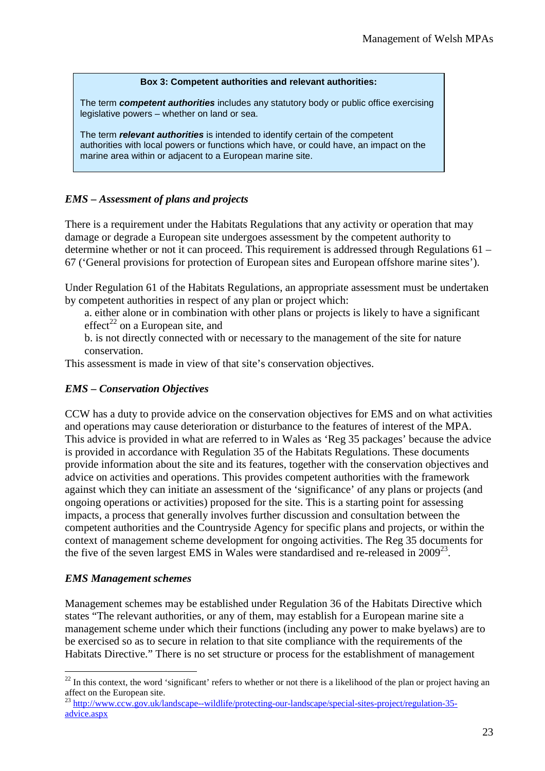#### **Box 3: Competent authorities and relevant authorities:**

The term **competent authorities** includes any statutory body or public office exercising legislative powers – whether on land or sea.

The term **relevant authorities** is intended to identify certain of the competent authorities with local powers or functions which have, or could have, an impact on the marine area within or adjacent to a European marine site.

## *EMS – Assessment of plans and projects*

There is a requirement under the Habitats Regulations that any activity or operation that may damage or degrade a European site undergoes assessment by the competent authority to determine whether or not it can proceed. This requirement is addressed through Regulations 61 – 67 ('General provisions for protection of European sites and European offshore marine sites').

Under Regulation 61 of the Habitats Regulations, an appropriate assessment must be undertaken by competent authorities in respect of any plan or project which:

a. either alone or in combination with other plans or projects is likely to have a significant effect<sup>22</sup> on a European site, and

b. is not directly connected with or necessary to the management of the site for nature conservation.

This assessment is made in view of that site's conservation objectives.

## *EMS – Conservation Objectives*

CCW has a duty to provide advice on the conservation objectives for EMS and on what activities and operations may cause deterioration or disturbance to the features of interest of the MPA. This advice is provided in what are referred to in Wales as 'Reg 35 packages' because the advice is provided in accordance with Regulation 35 of the Habitats Regulations. These documents provide information about the site and its features, together with the conservation objectives and advice on activities and operations. This provides competent authorities with the framework against which they can initiate an assessment of the 'significance' of any plans or projects (and ongoing operations or activities) proposed for the site. This is a starting point for assessing impacts, a process that generally involves further discussion and consultation between the competent authorities and the Countryside Agency for specific plans and projects, or within the context of management scheme development for ongoing activities. The Reg 35 documents for the five of the seven largest EMS in Wales were standardised and re-released in  $2009^{23}$ .

## *EMS Management schemes*

 $\overline{a}$ 

Management schemes may be established under Regulation 36 of the Habitats Directive which states "The relevant authorities, or any of them, may establish for a European marine site a management scheme under which their functions (including any power to make byelaws) are to be exercised so as to secure in relation to that site compliance with the requirements of the Habitats Directive." There is no set structure or process for the establishment of management

 $22$  In this context, the word 'significant' refers to whether or not there is a likelihood of the plan or project having an affect on the European site.

<sup>&</sup>lt;sup>23</sup> http://www<u>.ccw.gov.uk/landscape--wildlife/protecting-our-landscape/special-sites-project/regulation-35-</u> advice.aspx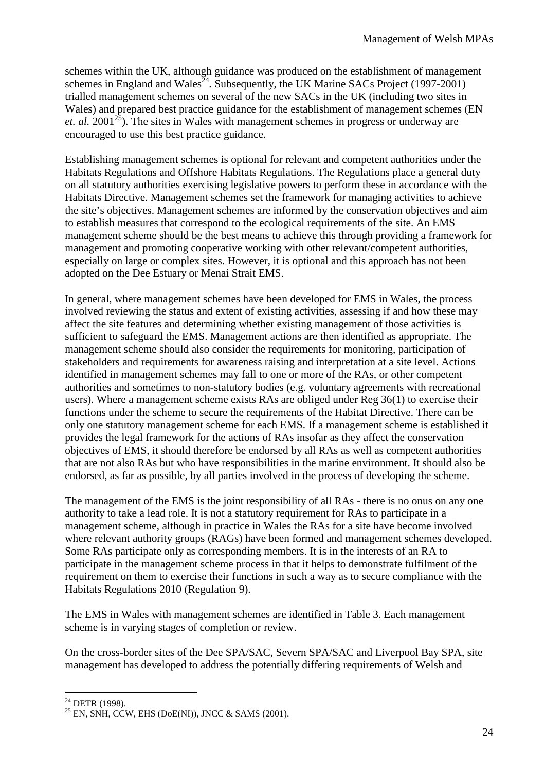schemes within the UK, although guidance was produced on the establishment of management schemes in England and Wales<sup> $24$ </sup>. Subsequently, the UK Marine SACs Project (1997-2001) trialled management schemes on several of the new SACs in the UK (including two sites in Wales) and prepared best practice guidance for the establishment of management schemes (EN *et. al.* 2001<sup>25</sup>). The sites in Wales with management schemes in progress or underway are encouraged to use this best practice guidance.

Establishing management schemes is optional for relevant and competent authorities under the Habitats Regulations and Offshore Habitats Regulations. The Regulations place a general duty on all statutory authorities exercising legislative powers to perform these in accordance with the Habitats Directive. Management schemes set the framework for managing activities to achieve the site's objectives. Management schemes are informed by the conservation objectives and aim to establish measures that correspond to the ecological requirements of the site. An EMS management scheme should be the best means to achieve this through providing a framework for management and promoting cooperative working with other relevant/competent authorities, especially on large or complex sites. However, it is optional and this approach has not been adopted on the Dee Estuary or Menai Strait EMS.

In general, where management schemes have been developed for EMS in Wales, the process involved reviewing the status and extent of existing activities, assessing if and how these may affect the site features and determining whether existing management of those activities is sufficient to safeguard the EMS. Management actions are then identified as appropriate. The management scheme should also consider the requirements for monitoring, participation of stakeholders and requirements for awareness raising and interpretation at a site level. Actions identified in management schemes may fall to one or more of the RAs, or other competent authorities and sometimes to non-statutory bodies (e.g. voluntary agreements with recreational users). Where a management scheme exists RAs are obliged under Reg 36(1) to exercise their functions under the scheme to secure the requirements of the Habitat Directive. There can be only one statutory management scheme for each EMS. If a management scheme is established it provides the legal framework for the actions of RAs insofar as they affect the conservation objectives of EMS, it should therefore be endorsed by all RAs as well as competent authorities that are not also RAs but who have responsibilities in the marine environment. It should also be endorsed, as far as possible, by all parties involved in the process of developing the scheme.

The management of the EMS is the joint responsibility of all RAs - there is no onus on any one authority to take a lead role. It is not a statutory requirement for RAs to participate in a management scheme, although in practice in Wales the RAs for a site have become involved where relevant authority groups (RAGs) have been formed and management schemes developed. Some RAs participate only as corresponding members. It is in the interests of an RA to participate in the management scheme process in that it helps to demonstrate fulfilment of the requirement on them to exercise their functions in such a way as to secure compliance with the Habitats Regulations 2010 (Regulation 9).

The EMS in Wales with management schemes are identified in Table 3. Each management scheme is in varying stages of completion or review.

On the cross-border sites of the Dee SPA/SAC, Severn SPA/SAC and Liverpool Bay SPA, site management has developed to address the potentially differing requirements of Welsh and

 $^{24}$  DETR (1998).

 $25$  EN, SNH, CCW, EHS (DoE(NI)), JNCC & SAMS (2001).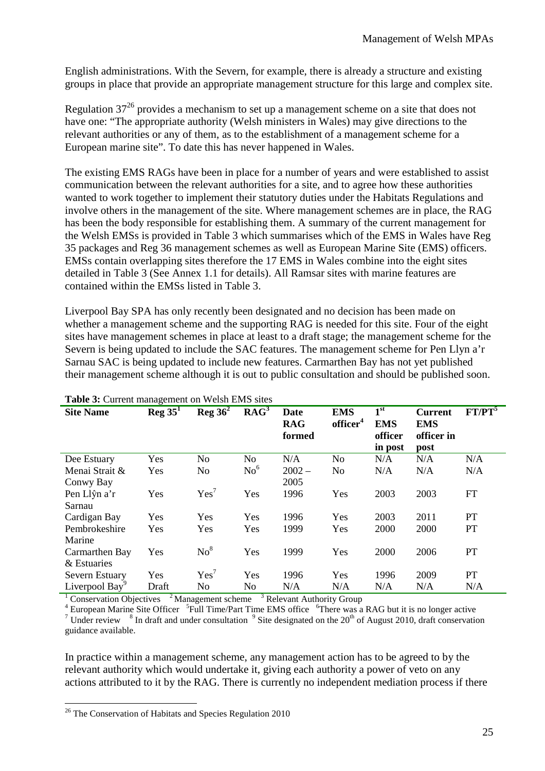English administrations. With the Severn, for example, there is already a structure and existing groups in place that provide an appropriate management structure for this large and complex site.

Regulation  $37^{26}$  provides a mechanism to set up a management scheme on a site that does not have one: "The appropriate authority (Welsh ministers in Wales) may give directions to the relevant authorities or any of them, as to the establishment of a management scheme for a European marine site". To date this has never happened in Wales.

The existing EMS RAGs have been in place for a number of years and were established to assist communication between the relevant authorities for a site, and to agree how these authorities wanted to work together to implement their statutory duties under the Habitats Regulations and involve others in the management of the site. Where management schemes are in place, the RAG has been the body responsible for establishing them. A summary of the current management for the Welsh EMSs is provided in Table 3 which summarises which of the EMS in Wales have Reg 35 packages and Reg 36 management schemes as well as European Marine Site (EMS) officers. EMSs contain overlapping sites therefore the 17 EMS in Wales combine into the eight sites detailed in Table 3 (See Annex 1.1 for details). All Ramsar sites with marine features are contained within the EMSs listed in Table 3.

Liverpool Bay SPA has only recently been designated and no decision has been made on whether a management scheme and the supporting RAG is needed for this site. Four of the eight sites have management schemes in place at least to a draft stage; the management scheme for the Severn is being updated to include the SAC features. The management scheme for Pen Llyn a'r Sarnau SAC is being updated to include new features. Carmarthen Bay has not yet published their management scheme although it is out to public consultation and should be published soon.

| <b>Table 5:</b> Carlotte management on Webin Ends sites |                    |                    |                                    |                              |                                    |                                                  |                                                    |                    |
|---------------------------------------------------------|--------------------|--------------------|------------------------------------|------------------------------|------------------------------------|--------------------------------------------------|----------------------------------------------------|--------------------|
| <b>Site Name</b>                                        | $\text{Reg } 35^1$ | $\text{Reg } 36^2$ | $\mathbf{R}\mathbf{A}\mathbf{G}^3$ | Date<br><b>RAG</b><br>formed | <b>EMS</b><br>officer <sup>4</sup> | $1^{\rm st}$<br><b>EMS</b><br>officer<br>in post | <b>Current</b><br><b>EMS</b><br>officer in<br>post | FT/PT <sup>5</sup> |
| Dee Estuary                                             | Yes                | No                 | N <sub>0</sub>                     | N/A                          | N <sub>0</sub>                     | N/A                                              | N/A                                                | N/A                |
| Menai Strait &                                          | Yes                | No                 | $\mathrm{No}^6$                    | $2002 -$                     | N <sub>0</sub>                     | N/A                                              | N/A                                                | N/A                |
| Conwy Bay                                               |                    |                    |                                    | 2005                         |                                    |                                                  |                                                    |                    |
| Pen Llŷn a'r                                            | Yes                | Yes <sup>7</sup>   | Yes                                | 1996                         | Yes                                | 2003                                             | 2003                                               | FT                 |
| Sarnau                                                  |                    |                    |                                    |                              |                                    |                                                  |                                                    |                    |
| Cardigan Bay                                            | Yes                | Yes                | Yes                                | 1996                         | Yes                                | 2003                                             | 2011                                               | PТ                 |
| Pembrokeshire                                           | Yes                | Yes                | Yes                                | 1999                         | Yes                                | 2000                                             | 2000                                               | PТ                 |
| Marine                                                  |                    |                    |                                    |                              |                                    |                                                  |                                                    |                    |
| Carmarthen Bay                                          | Yes                | No <sup>8</sup>    | Yes                                | 1999                         | Yes                                | 2000                                             | 2006                                               | PT                 |
| & Estuaries                                             |                    |                    |                                    |                              |                                    |                                                  |                                                    |                    |
| Severn Estuary                                          | Yes                | Yes <sup>7</sup>   | Yes                                | 1996                         | Yes                                | 1996                                             | 2009                                               | PT                 |
| Liverpool Bay                                           | Draft              | No                 | N <sub>o</sub>                     | N/A                          | N/A                                | N/A                                              | N/A                                                | N/A                |
|                                                         |                    |                    |                                    |                              |                                    |                                                  |                                                    |                    |

#### **Table 3:** Current management on Welsh EMS sites

<sup>1</sup> Conservation Objectives  $\frac{2}{3}$  Management scheme  $\frac{3}{3}$  Relevant Authority Group

<sup>4</sup> European Marine Site Officer <sup>5</sup>Full Time/Part Time EMS office <sup>6</sup>There was a RAG but it is no longer active <sup>7</sup> Under review  $8$  In draft and under consultation  $9$  Site designated on the 20<sup>th</sup> of August 2010, draft conservation guidance available.

In practice within a management scheme, any management action has to be agreed to by the relevant authority which would undertake it, giving each authority a power of veto on any actions attributed to it by the RAG. There is currently no independent mediation process if there

 $\overline{a}$ <sup>26</sup> The Conservation of Habitats and Species Regulation 2010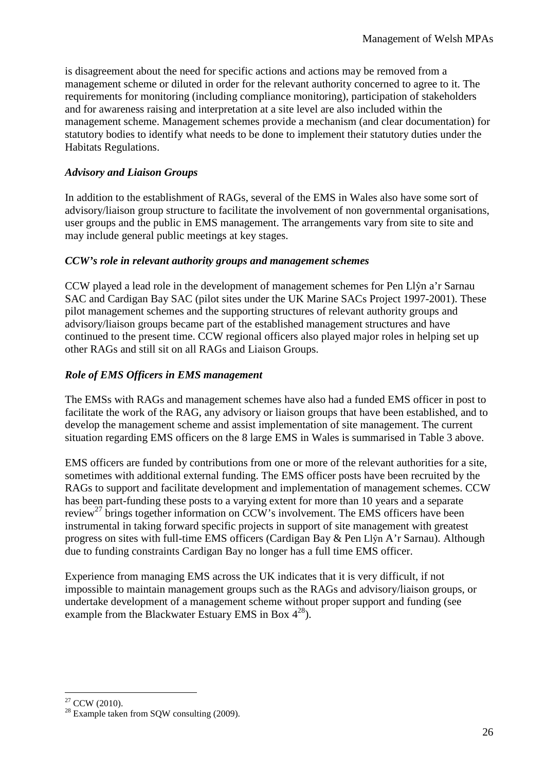is disagreement about the need for specific actions and actions may be removed from a management scheme or diluted in order for the relevant authority concerned to agree to it. The requirements for monitoring (including compliance monitoring), participation of stakeholders and for awareness raising and interpretation at a site level are also included within the management scheme. Management schemes provide a mechanism (and clear documentation) for statutory bodies to identify what needs to be done to implement their statutory duties under the Habitats Regulations.

## *Advisory and Liaison Groups*

In addition to the establishment of RAGs, several of the EMS in Wales also have some sort of advisory/liaison group structure to facilitate the involvement of non governmental organisations, user groups and the public in EMS management. The arrangements vary from site to site and may include general public meetings at key stages.

### *CCW's role in relevant authority groups and management schemes*

CCW played a lead role in the development of management schemes for Pen Llŷn a'r Sarnau SAC and Cardigan Bay SAC (pilot sites under the UK Marine SACs Project 1997-2001). These pilot management schemes and the supporting structures of relevant authority groups and advisory/liaison groups became part of the established management structures and have continued to the present time. CCW regional officers also played major roles in helping set up other RAGs and still sit on all RAGs and Liaison Groups.

## *Role of EMS Officers in EMS management*

The EMSs with RAGs and management schemes have also had a funded EMS officer in post to facilitate the work of the RAG, any advisory or liaison groups that have been established, and to develop the management scheme and assist implementation of site management. The current situation regarding EMS officers on the 8 large EMS in Wales is summarised in Table 3 above.

EMS officers are funded by contributions from one or more of the relevant authorities for a site, sometimes with additional external funding. The EMS officer posts have been recruited by the RAGs to support and facilitate development and implementation of management schemes. CCW has been part-funding these posts to a varying extent for more than 10 years and a separate review<sup>27</sup> brings together information on CCW's involvement. The EMS officers have been instrumental in taking forward specific projects in support of site management with greatest progress on sites with full-time EMS officers (Cardigan Bay & Pen Llŷn A'r Sarnau). Although due to funding constraints Cardigan Bay no longer has a full time EMS officer.

Experience from managing EMS across the UK indicates that it is very difficult, if not impossible to maintain management groups such as the RAGs and advisory/liaison groups, or undertake development of a management scheme without proper support and funding (see example from the Blackwater Estuary EMS in Box  $4^{28}$ ).

 $\overline{a}$  $27$  CCW (2010).

<sup>&</sup>lt;sup>28</sup> Example taken from SQW consulting (2009).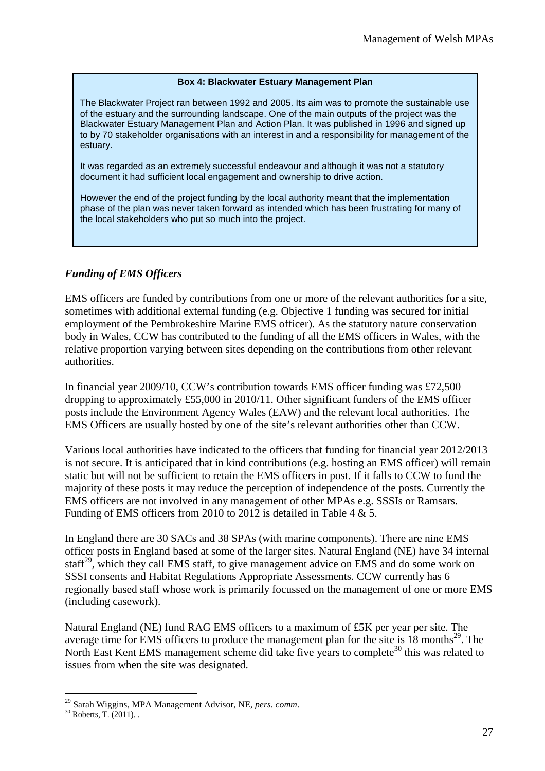#### **Box 4: Blackwater Estuary Management Plan**

The Blackwater Project ran between 1992 and 2005. Its aim was to promote the sustainable use of the estuary and the surrounding landscape. One of the main outputs of the project was the Blackwater Estuary Management Plan and Action Plan. It was published in 1996 and signed up to by 70 stakeholder organisations with an interest in and a responsibility for management of the estuary.

It was regarded as an extremely successful endeavour and although it was not a statutory document it had sufficient local engagement and ownership to drive action.

However the end of the project funding by the local authority meant that the implementation phase of the plan was never taken forward as intended which has been frustrating for many of the local stakeholders who put so much into the project.

## *Funding of EMS Officers*

EMS officers are funded by contributions from one or more of the relevant authorities for a site, sometimes with additional external funding (e.g. Objective 1 funding was secured for initial employment of the Pembrokeshire Marine EMS officer). As the statutory nature conservation body in Wales, CCW has contributed to the funding of all the EMS officers in Wales, with the relative proportion varying between sites depending on the contributions from other relevant authorities.

In financial year 2009/10, CCW's contribution towards EMS officer funding was £72,500 dropping to approximately £55,000 in 2010/11. Other significant funders of the EMS officer posts include the Environment Agency Wales (EAW) and the relevant local authorities. The EMS Officers are usually hosted by one of the site's relevant authorities other than CCW.

Various local authorities have indicated to the officers that funding for financial year 2012/2013 is not secure. It is anticipated that in kind contributions (e.g. hosting an EMS officer) will remain static but will not be sufficient to retain the EMS officers in post. If it falls to CCW to fund the majority of these posts it may reduce the perception of independence of the posts. Currently the EMS officers are not involved in any management of other MPAs e.g. SSSIs or Ramsars. Funding of EMS officers from 2010 to 2012 is detailed in Table 4 & 5.

In England there are 30 SACs and 38 SPAs (with marine components). There are nine EMS officer posts in England based at some of the larger sites. Natural England (NE) have 34 internal staff<sup>29</sup>, which they call EMS staff, to give management advice on EMS and do some work on SSSI consents and Habitat Regulations Appropriate Assessments. CCW currently has 6 regionally based staff whose work is primarily focussed on the management of one or more EMS (including casework).

Natural England (NE) fund RAG EMS officers to a maximum of £5K per year per site. The average time for EMS officers to produce the management plan for the site is 18 months<sup>29</sup>. The North East Kent EMS management scheme did take five years to complete<sup>30</sup> this was related to issues from when the site was designated.

 $\overline{a}$ <sup>29</sup> Sarah Wiggins, MPA Management Advisor, NE, *pers. comm*.

 $30$  Roberts, T. (2011).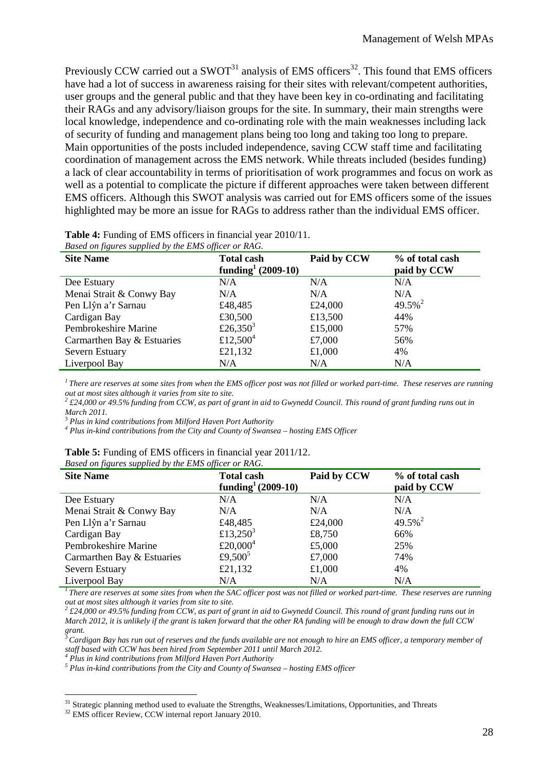Previously CCW carried out a  $SWOT<sup>31</sup>$  analysis of EMS officers<sup>32</sup>. This found that EMS officers have had a lot of success in awareness raising for their sites with relevant/competent authorities, user groups and the general public and that they have been key in co-ordinating and facilitating their RAGs and any advisory/liaison groups for the site. In summary, their main strengths were local knowledge, independence and co-ordinating role with the main weaknesses including lack of security of funding and management plans being too long and taking too long to prepare. Main opportunities of the posts included independence, saving CCW staff time and facilitating coordination of management across the EMS network. While threats included (besides funding) a lack of clear accountability in terms of prioritisation of work programmes and focus on work as well as a potential to complicate the picture if different approaches were taken between different EMS officers. Although this SWOT analysis was carried out for EMS officers some of the issues highlighted may be more an issue for RAGs to address rather than the individual EMS officer.

| Based on figures supplied by the EMS officer or RAG. |                                                     |                                |                       |  |  |  |  |  |  |
|------------------------------------------------------|-----------------------------------------------------|--------------------------------|-----------------------|--|--|--|--|--|--|
| <b>Site Name</b>                                     | <b>Total cash</b><br>funding <sup>1</sup> (2009-10) | % of total cash<br>paid by CCW |                       |  |  |  |  |  |  |
| Dee Estuary                                          | N/A                                                 | N/A                            | N/A                   |  |  |  |  |  |  |
| Menai Strait & Conwy Bay                             | N/A                                                 | N/A                            | N/A                   |  |  |  |  |  |  |
| Pen Llŷn a'r Sarnau                                  | £48,485                                             | £24,000                        | $49.5\%$ <sup>2</sup> |  |  |  |  |  |  |
| Cardigan Bay                                         | £30,500                                             | £13,500                        | 44%                   |  |  |  |  |  |  |
| Pembrokeshire Marine                                 | £26,350 <sup>3</sup>                                | £15,000                        | 57%                   |  |  |  |  |  |  |
| Carmarthen Bay & Estuaries                           | £12,500 <sup>4</sup>                                | £7,000                         | 56%                   |  |  |  |  |  |  |
| Severn Estuary                                       | £21,132                                             | £1,000                         | 4%                    |  |  |  |  |  |  |
| Liverpool Bay                                        | N/A                                                 | N/A                            | N/A                   |  |  |  |  |  |  |
|                                                      |                                                     |                                |                       |  |  |  |  |  |  |

*<sup>1</sup>There are reserves at some sites from when the EMS officer post was not filled or worked part-time. These reserves are running out at most sites although it varies from site to site.* 

*2 £24,000 or 49.5% funding from CCW, as part of grant in aid to Gwynedd Council. This round of grant funding runs out in March 2011.* 

<sup>3</sup> *Plus in kind contributions from Milford Haven Port Authority* 

<sup>4</sup> Plus in-kind contributions from the City and County of Swansea – hosting EMS Officer

|              | <b>Table 5:</b> Funding of EMS officers in financial year 2011/12.                                                                                                                                                                                                                                                                 |  |  |  |  |  |
|--------------|------------------------------------------------------------------------------------------------------------------------------------------------------------------------------------------------------------------------------------------------------------------------------------------------------------------------------------|--|--|--|--|--|
| $\mathbf{r}$ | $\mathbf{P}$ $\mathbf{P}$ $\mathbf{P}$ $\mathbf{P}$ $\mathbf{P}$ $\mathbf{P}$ $\mathbf{P}$ $\mathbf{P}$ $\mathbf{P}$ $\mathbf{P}$ $\mathbf{P}$ $\mathbf{P}$ $\mathbf{P}$ $\mathbf{P}$ $\mathbf{P}$ $\mathbf{P}$ $\mathbf{P}$ $\mathbf{P}$ $\mathbf{P}$ $\mathbf{P}$ $\mathbf{P}$ $\mathbf{P}$ $\mathbf{P}$ $\mathbf{P}$ $\mathbf{$ |  |  |  |  |  |

| Based on figures supplied by the EMS officer or KAG. |                                          |             |                                |  |  |  |  |  |
|------------------------------------------------------|------------------------------------------|-------------|--------------------------------|--|--|--|--|--|
| <b>Site Name</b>                                     | <b>Total cash</b><br>funding $(2009-10)$ | Paid by CCW | % of total cash<br>paid by CCW |  |  |  |  |  |
| Dee Estuary                                          | N/A                                      | N/A         | N/A                            |  |  |  |  |  |
| Menai Strait & Conwy Bay                             | N/A                                      | N/A         | N/A                            |  |  |  |  |  |
| Pen Llŷn a'r Sarnau                                  | £48,485                                  | £24,000     | $49.5\%$ <sup>2</sup>          |  |  |  |  |  |
| Cardigan Bay                                         | £13,250 <sup>3</sup>                     | £8,750      | 66%                            |  |  |  |  |  |
| Pembrokeshire Marine                                 | £20,000 <sup>4</sup>                     | £5,000      | 25%                            |  |  |  |  |  |
| Carmarthen Bay & Estuaries                           | £9,500 <sup>5</sup>                      | £7,000      | 74%                            |  |  |  |  |  |
| Severn Estuary                                       | £21,132                                  | £1,000      | 4%                             |  |  |  |  |  |
| Liverpool Bay                                        | N/A                                      | N/A         | N/A                            |  |  |  |  |  |

<sup>1</sup>*There are reserves at some sites from when the SAC officer post was not filled or worked part-time. These reserves are running out at most sites although it varies from site to site. 2*

 *£24,000 or 49.5% funding from CCW, as part of grant in aid to Gwynedd Council. This round of grant funding runs out in March 2012, it is unlikely if the grant is taken forward that the other RA funding will be enough to draw down the full CCW grant.* 

*<sup>3</sup>Cardigan Bay has run out of reserves and the funds available are not enough to hire an EMS officer, a temporary member of staff based with CCW has been hired from September 2011 until March 2012.* 

<sup>4</sup> Plus in kind contributions from Milford Haven Port Authority

*<sup>5</sup> Plus in-kind contributions from the City and County of Swansea – hosting EMS officer* 

<sup>&</sup>lt;sup>31</sup> Strategic planning method used to evaluate the Strengths, Weaknesses/Limitations, Opportunities, and Threats

<sup>&</sup>lt;sup>32</sup> EMS officer Review, CCW internal report January 2010.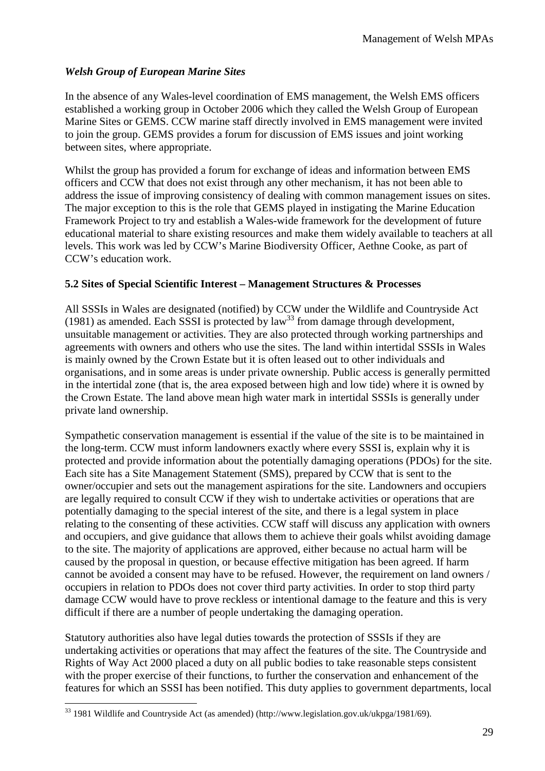## *Welsh Group of European Marine Sites*

In the absence of any Wales-level coordination of EMS management, the Welsh EMS officers established a working group in October 2006 which they called the Welsh Group of European Marine Sites or GEMS. CCW marine staff directly involved in EMS management were invited to join the group. GEMS provides a forum for discussion of EMS issues and joint working between sites, where appropriate.

Whilst the group has provided a forum for exchange of ideas and information between EMS officers and CCW that does not exist through any other mechanism, it has not been able to address the issue of improving consistency of dealing with common management issues on sites. The major exception to this is the role that GEMS played in instigating the Marine Education Framework Project to try and establish a Wales-wide framework for the development of future educational material to share existing resources and make them widely available to teachers at all levels. This work was led by CCW's Marine Biodiversity Officer, Aethne Cooke, as part of CCW's education work.

## **5.2 Sites of Special Scientific Interest – Management Structures & Processes**

All SSSIs in Wales are designated (notified) by CCW under the Wildlife and Countryside Act (1981) as amended. Each SSSI is protected by law<sup>33</sup> from damage through development, unsuitable management or activities. They are also protected through working partnerships and agreements with owners and others who use the sites. The land within intertidal SSSIs in Wales is mainly owned by the Crown Estate but it is often leased out to other individuals and organisations, and in some areas is under private ownership. Public access is generally permitted in the intertidal zone (that is, the area exposed between high and low tide) where it is owned by the Crown Estate. The land above mean high water mark in intertidal SSSIs is generally under private land ownership.

Sympathetic conservation management is essential if the value of the site is to be maintained in the long-term. CCW must inform landowners exactly where every SSSI is, explain why it is protected and provide information about the potentially damaging operations (PDOs) for the site. Each site has a Site Management Statement (SMS), prepared by CCW that is sent to the owner/occupier and sets out the management aspirations for the site. Landowners and occupiers are legally required to consult CCW if they wish to undertake activities or operations that are potentially damaging to the special interest of the site, and there is a legal system in place relating to the consenting of these activities. CCW staff will discuss any application with owners and occupiers, and give guidance that allows them to achieve their goals whilst avoiding damage to the site. The majority of applications are approved, either because no actual harm will be caused by the proposal in question, or because effective mitigation has been agreed. If harm cannot be avoided a consent may have to be refused. However, the requirement on land owners / occupiers in relation to PDOs does not cover third party activities. In order to stop third party damage CCW would have to prove reckless or intentional damage to the feature and this is very difficult if there are a number of people undertaking the damaging operation.

Statutory authorities also have legal duties towards the protection of SSSIs if they are undertaking activities or operations that may affect the features of the site. The Countryside and Rights of Way Act 2000 placed a duty on all public bodies to take reasonable steps consistent with the proper exercise of their functions, to further the conservation and enhancement of the features for which an SSSI has been notified. This duty applies to government departments, local

 $\overline{a}$ <sup>33</sup> 1981 Wildlife and Countryside Act (as amended) (http://www.legislation.gov.uk/ukpga/1981/69).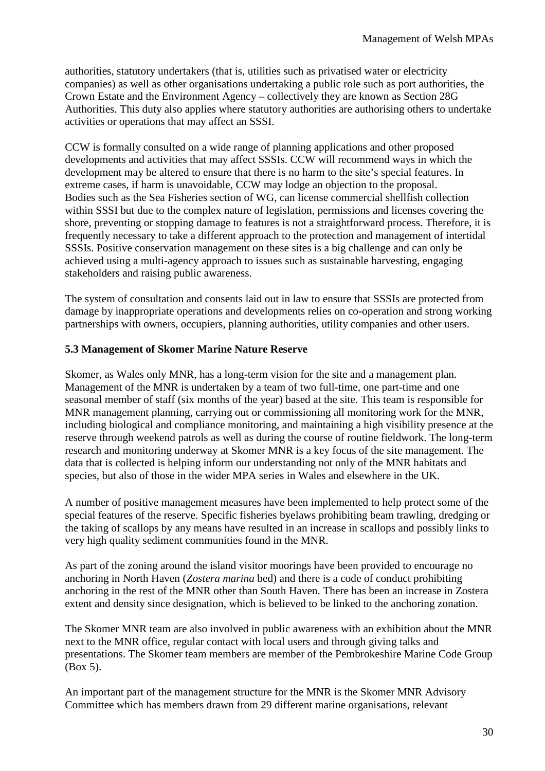authorities, statutory undertakers (that is, utilities such as privatised water or electricity companies) as well as other organisations undertaking a public role such as port authorities, the Crown Estate and the Environment Agency – collectively they are known as Section 28G Authorities. This duty also applies where statutory authorities are authorising others to undertake activities or operations that may affect an SSSI.

CCW is formally consulted on a wide range of planning applications and other proposed developments and activities that may affect SSSIs. CCW will recommend ways in which the development may be altered to ensure that there is no harm to the site's special features. In extreme cases, if harm is unavoidable, CCW may lodge an objection to the proposal. Bodies such as the Sea Fisheries section of WG, can license commercial shellfish collection within SSSI but due to the complex nature of legislation, permissions and licenses covering the shore, preventing or stopping damage to features is not a straightforward process. Therefore, it is frequently necessary to take a different approach to the protection and management of intertidal SSSIs. Positive conservation management on these sites is a big challenge and can only be achieved using a multi-agency approach to issues such as sustainable harvesting, engaging stakeholders and raising public awareness.

The system of consultation and consents laid out in law to ensure that SSSIs are protected from damage by inappropriate operations and developments relies on co-operation and strong working partnerships with owners, occupiers, planning authorities, utility companies and other users.

## **5.3 Management of Skomer Marine Nature Reserve**

Skomer, as Wales only MNR, has a long-term vision for the site and a management plan. Management of the MNR is undertaken by a team of two full-time, one part-time and one seasonal member of staff (six months of the year) based at the site. This team is responsible for MNR management planning, carrying out or commissioning all monitoring work for the MNR, including biological and compliance monitoring, and maintaining a high visibility presence at the reserve through weekend patrols as well as during the course of routine fieldwork. The long-term research and monitoring underway at Skomer MNR is a key focus of the site management. The data that is collected is helping inform our understanding not only of the MNR habitats and species, but also of those in the wider MPA series in Wales and elsewhere in the UK.

A number of positive management measures have been implemented to help protect some of the special features of the reserve. Specific fisheries byelaws prohibiting beam trawling, dredging or the taking of scallops by any means have resulted in an increase in scallops and possibly links to very high quality sediment communities found in the MNR.

As part of the zoning around the island visitor moorings have been provided to encourage no anchoring in North Haven (*Zostera marina* bed) and there is a code of conduct prohibiting anchoring in the rest of the MNR other than South Haven. There has been an increase in Zostera extent and density since designation, which is believed to be linked to the anchoring zonation.

The Skomer MNR team are also involved in public awareness with an exhibition about the MNR next to the MNR office, regular contact with local users and through giving talks and presentations. The Skomer team members are member of the Pembrokeshire Marine Code Group (Box 5).

An important part of the management structure for the MNR is the Skomer MNR Advisory Committee which has members drawn from 29 different marine organisations, relevant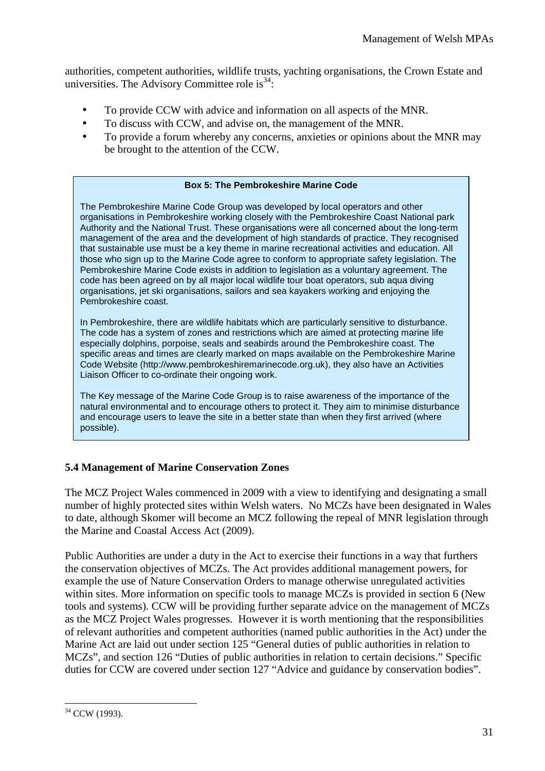authorities, competent authorities, wildlife trusts, yachting organisations, the Crown Estate and universities. The Advisory Committee role is  $34$ :

- To provide CCW with advice and information on all aspects of the MNR.
- To discuss with CCW, and advise on, the management of the MNR.
- To provide a forum whereby any concerns, anxieties or opinions about the MNR may be brought to the attention of the CCW.

#### **Box 5: The Pembrokeshire Marine Code**

The Pembrokeshire Marine Code Group was developed by local operators and other organisations in Pembrokeshire working closely with the Pembrokeshire Coast National park Authority and the National Trust. These organisations were all concerned about the long-term management of the area and the development of high standards of practice. They recognised that sustainable use must be a key theme in marine recreational activities and education. All those who sign up to the Marine Code agree to conform to appropriate safety legislation. The Pembrokeshire Marine Code exists in addition to legislation as a voluntary agreement. The code has been agreed on by all major local wildlife tour boat operators, sub aqua diving organisations, jet ski organisations, sailors and sea kayakers working and enjoying the Pembrokeshire coast.

In Pembrokeshire, there are wildlife habitats which are particularly sensitive to disturbance. The code has a system of zones and restrictions which are aimed at protecting marine life especially dolphins, porpoise, seals and seabirds around the Pembrokeshire coast. The specific areas and times are clearly marked on maps available on the Pembrokeshire Marine Code Website (http://www.pembrokeshiremarinecode.org.uk), they also have an Activities Liaison Officer to co-ordinate their ongoing work.

The Key message of the Marine Code Group is to raise awareness of the importance of the natural environmental and to encourage others to protect it. They aim to minimise disturbance and encourage users to leave the site in a better state than when they first arrived (where possible).

## **5.4 Management of Marine Conservation Zones**

The MCZ Project Wales commenced in 2009 with a view to identifying and designating a small number of highly protected sites within Welsh waters. No MCZs have been designated in Wales to date, although Skomer will become an MCZ following the repeal of MNR legislation through the Marine and Coastal Access Act (2009).

Public Authorities are under a duty in the Act to exercise their functions in a way that furthers the conservation objectives of MCZs. The Act provides additional management powers, for example the use of Nature Conservation Orders to manage otherwise unregulated activities within sites. More information on specific tools to manage MCZs is provided in section 6 (New tools and systems). CCW will be providing further separate advice on the management of MCZs as the MCZ Project Wales progresses. However it is worth mentioning that the responsibilities of relevant authorities and competent authorities (named public authorities in the Act) under the Marine Act are laid out under section 125 "General duties of public authorities in relation to MCZs", and section 126 "Duties of public authorities in relation to certain decisions." Specific duties for CCW are covered under section 127 "Advice and guidance by conservation bodies".

 $\overline{a}$ <sup>34</sup> CCW (1993).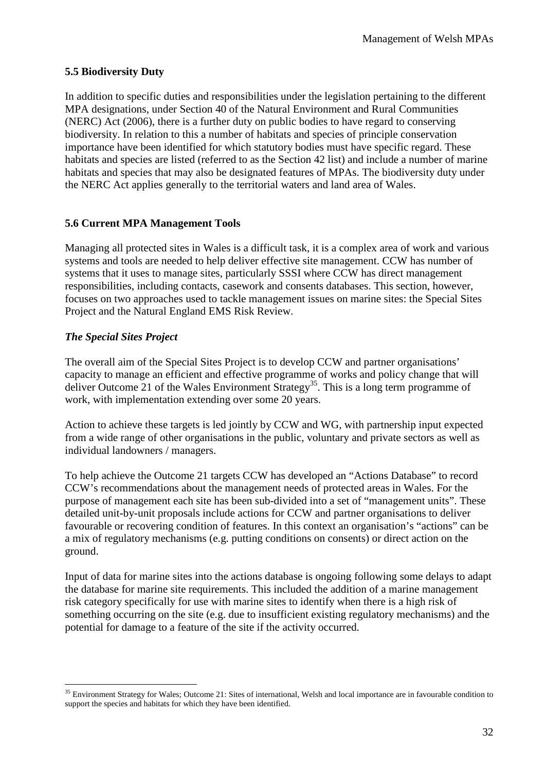## **5.5 Biodiversity Duty**

In addition to specific duties and responsibilities under the legislation pertaining to the different MPA designations, under Section 40 of the Natural Environment and Rural Communities (NERC) Act (2006), there is a further duty on public bodies to have regard to conserving biodiversity. In relation to this a number of habitats and species of principle conservation importance have been identified for which statutory bodies must have specific regard. These habitats and species are listed (referred to as the Section 42 list) and include a number of marine habitats and species that may also be designated features of MPAs. The biodiversity duty under the NERC Act applies generally to the territorial waters and land area of Wales.

## **5.6 Current MPA Management Tools**

Managing all protected sites in Wales is a difficult task, it is a complex area of work and various systems and tools are needed to help deliver effective site management. CCW has number of systems that it uses to manage sites, particularly SSSI where CCW has direct management responsibilities, including contacts, casework and consents databases. This section, however, focuses on two approaches used to tackle management issues on marine sites: the Special Sites Project and the Natural England EMS Risk Review.

## *The Special Sites Project*

The overall aim of the Special Sites Project is to develop CCW and partner organisations' capacity to manage an efficient and effective programme of works and policy change that will deliver Outcome 21 of the Wales Environment Strategy <sup>35</sup>. This is a long term programme of work, with implementation extending over some 20 years.

Action to achieve these targets is led jointly by CCW and WG, with partnership input expected from a wide range of other organisations in the public, voluntary and private sectors as well as individual landowners / managers.

To help achieve the Outcome 21 targets CCW has developed an "Actions Database" to record CCW's recommendations about the management needs of protected areas in Wales. For the purpose of management each site has been sub-divided into a set of "management units". These detailed unit-by-unit proposals include actions for CCW and partner organisations to deliver favourable or recovering condition of features. In this context an organisation's "actions" can be a mix of regulatory mechanisms (e.g. putting conditions on consents) or direct action on the ground.

Input of data for marine sites into the actions database is ongoing following some delays to adapt the database for marine site requirements. This included the addition of a marine management risk category specifically for use with marine sites to identify when there is a high risk of something occurring on the site (e.g. due to insufficient existing regulatory mechanisms) and the potential for damage to a feature of the site if the activity occurred.

 $\overline{a}$ <sup>35</sup> Environment Strategy for Wales; Outcome 21: Sites of international, Welsh and local importance are in favourable condition to support the species and habitats for which they have been identified.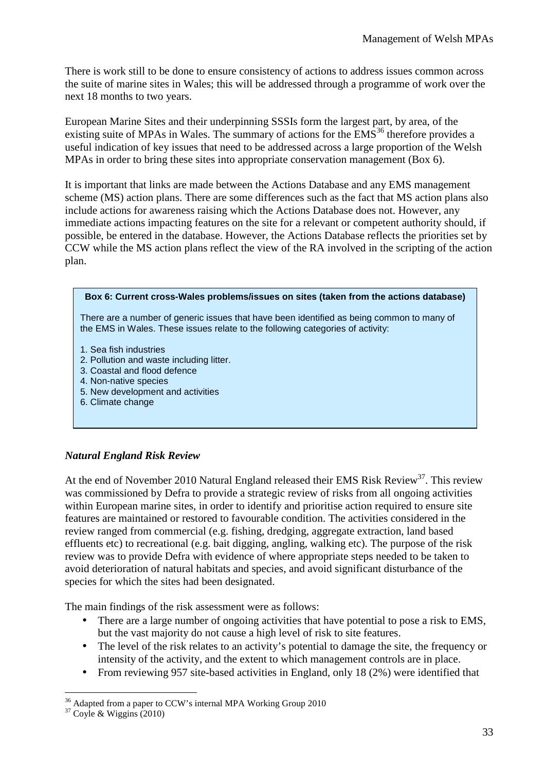There is work still to be done to ensure consistency of actions to address issues common across the suite of marine sites in Wales; this will be addressed through a programme of work over the next 18 months to two years.

European Marine Sites and their underpinning SSSIs form the largest part, by area, of the existing suite of MPAs in Wales. The summary of actions for the  $EMS<sup>36</sup>$  therefore provides a useful indication of key issues that need to be addressed across a large proportion of the Welsh MPAs in order to bring these sites into appropriate conservation management (Box 6).

It is important that links are made between the Actions Database and any EMS management scheme (MS) action plans. There are some differences such as the fact that MS action plans also include actions for awareness raising which the Actions Database does not. However, any immediate actions impacting features on the site for a relevant or competent authority should, if possible, be entered in the database. However, the Actions Database reflects the priorities set by CCW while the MS action plans reflect the view of the RA involved in the scripting of the action plan.



- 5. New development and activities
- 6. Climate change

## *Natural England Risk Review*

At the end of November 2010 Natural England released their EMS Risk Review<sup>37</sup>. This review was commissioned by Defra to provide a strategic review of risks from all ongoing activities within European marine sites, in order to identify and prioritise action required to ensure site features are maintained or restored to favourable condition. The activities considered in the review ranged from commercial (e.g. fishing, dredging, aggregate extraction, land based effluents etc) to recreational (e.g. bait digging, angling, walking etc). The purpose of the risk review was to provide Defra with evidence of where appropriate steps needed to be taken to avoid deterioration of natural habitats and species, and avoid significant disturbance of the species for which the sites had been designated.

The main findings of the risk assessment were as follows:

- There are a large number of ongoing activities that have potential to pose a risk to EMS, but the vast majority do not cause a high level of risk to site features.
- The level of the risk relates to an activity's potential to damage the site, the frequency or intensity of the activity, and the extent to which management controls are in place.
- From reviewing 957 site-based activities in England, only 18 (2%) were identified that

 $\overline{a}$  $36$  Adapted from a paper to CCW's internal MPA Working Group 2010

<sup>37</sup> Coyle & Wiggins (2010)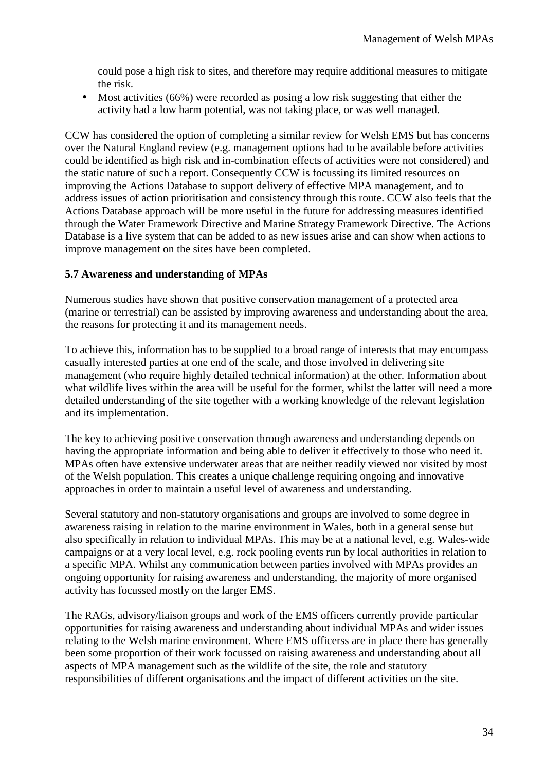could pose a high risk to sites, and therefore may require additional measures to mitigate the risk.

• Most activities (66%) were recorded as posing a low risk suggesting that either the activity had a low harm potential, was not taking place, or was well managed.

CCW has considered the option of completing a similar review for Welsh EMS but has concerns over the Natural England review (e.g. management options had to be available before activities could be identified as high risk and in-combination effects of activities were not considered) and the static nature of such a report. Consequently CCW is focussing its limited resources on improving the Actions Database to support delivery of effective MPA management, and to address issues of action prioritisation and consistency through this route. CCW also feels that the Actions Database approach will be more useful in the future for addressing measures identified through the Water Framework Directive and Marine Strategy Framework Directive. The Actions Database is a live system that can be added to as new issues arise and can show when actions to improve management on the sites have been completed.

## **5.7 Awareness and understanding of MPAs**

Numerous studies have shown that positive conservation management of a protected area (marine or terrestrial) can be assisted by improving awareness and understanding about the area, the reasons for protecting it and its management needs.

To achieve this, information has to be supplied to a broad range of interests that may encompass casually interested parties at one end of the scale, and those involved in delivering site management (who require highly detailed technical information) at the other. Information about what wildlife lives within the area will be useful for the former, whilst the latter will need a more detailed understanding of the site together with a working knowledge of the relevant legislation and its implementation.

The key to achieving positive conservation through awareness and understanding depends on having the appropriate information and being able to deliver it effectively to those who need it. MPAs often have extensive underwater areas that are neither readily viewed nor visited by most of the Welsh population. This creates a unique challenge requiring ongoing and innovative approaches in order to maintain a useful level of awareness and understanding.

Several statutory and non-statutory organisations and groups are involved to some degree in awareness raising in relation to the marine environment in Wales, both in a general sense but also specifically in relation to individual MPAs. This may be at a national level, e.g. Wales-wide campaigns or at a very local level, e.g. rock pooling events run by local authorities in relation to a specific MPA. Whilst any communication between parties involved with MPAs provides an ongoing opportunity for raising awareness and understanding, the majority of more organised activity has focussed mostly on the larger EMS.

The RAGs, advisory/liaison groups and work of the EMS officers currently provide particular opportunities for raising awareness and understanding about individual MPAs and wider issues relating to the Welsh marine environment. Where EMS officerss are in place there has generally been some proportion of their work focussed on raising awareness and understanding about all aspects of MPA management such as the wildlife of the site, the role and statutory responsibilities of different organisations and the impact of different activities on the site.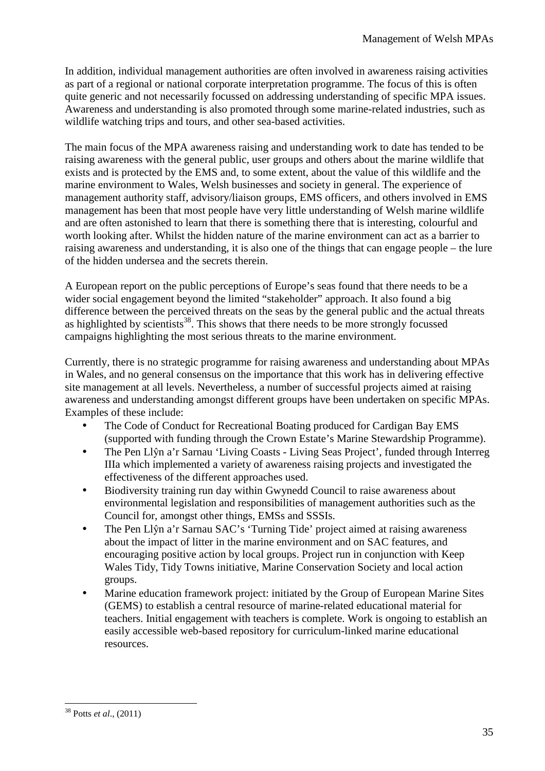In addition, individual management authorities are often involved in awareness raising activities as part of a regional or national corporate interpretation programme. The focus of this is often quite generic and not necessarily focussed on addressing understanding of specific MPA issues. Awareness and understanding is also promoted through some marine-related industries, such as wildlife watching trips and tours, and other sea-based activities.

The main focus of the MPA awareness raising and understanding work to date has tended to be raising awareness with the general public, user groups and others about the marine wildlife that exists and is protected by the EMS and, to some extent, about the value of this wildlife and the marine environment to Wales, Welsh businesses and society in general. The experience of management authority staff, advisory/liaison groups, EMS officers, and others involved in EMS management has been that most people have very little understanding of Welsh marine wildlife and are often astonished to learn that there is something there that is interesting, colourful and worth looking after. Whilst the hidden nature of the marine environment can act as a barrier to raising awareness and understanding, it is also one of the things that can engage people – the lure of the hidden undersea and the secrets therein.

A European report on the public perceptions of Europe's seas found that there needs to be a wider social engagement beyond the limited "stakeholder" approach. It also found a big difference between the perceived threats on the seas by the general public and the actual threats as highlighted by scientists<sup>38</sup>. This shows that there needs to be more strongly focussed campaigns highlighting the most serious threats to the marine environment.

Currently, there is no strategic programme for raising awareness and understanding about MPAs in Wales, and no general consensus on the importance that this work has in delivering effective site management at all levels. Nevertheless, a number of successful projects aimed at raising awareness and understanding amongst different groups have been undertaken on specific MPAs. Examples of these include:

- The Code of Conduct for Recreational Boating produced for Cardigan Bay EMS (supported with funding through the Crown Estate's Marine Stewardship Programme).
- The Pen Llŷn a'r Sarnau 'Living Coasts Living Seas Project', funded through Interreg IIIa which implemented a variety of awareness raising projects and investigated the effectiveness of the different approaches used.
- Biodiversity training run day within Gwynedd Council to raise awareness about environmental legislation and responsibilities of management authorities such as the Council for, amongst other things, EMSs and SSSIs.
- The Pen Llŷn a'r Sarnau SAC's 'Turning Tide' project aimed at raising awareness about the impact of litter in the marine environment and on SAC features, and encouraging positive action by local groups. Project run in conjunction with Keep Wales Tidy, Tidy Towns initiative, Marine Conservation Society and local action groups.
- Marine education framework project: initiated by the Group of European Marine Sites (GEMS) to establish a central resource of marine-related educational material for teachers. Initial engagement with teachers is complete. Work is ongoing to establish an easily accessible web-based repository for curriculum-linked marine educational resources.

<sup>38</sup> Potts *et al*., (2011)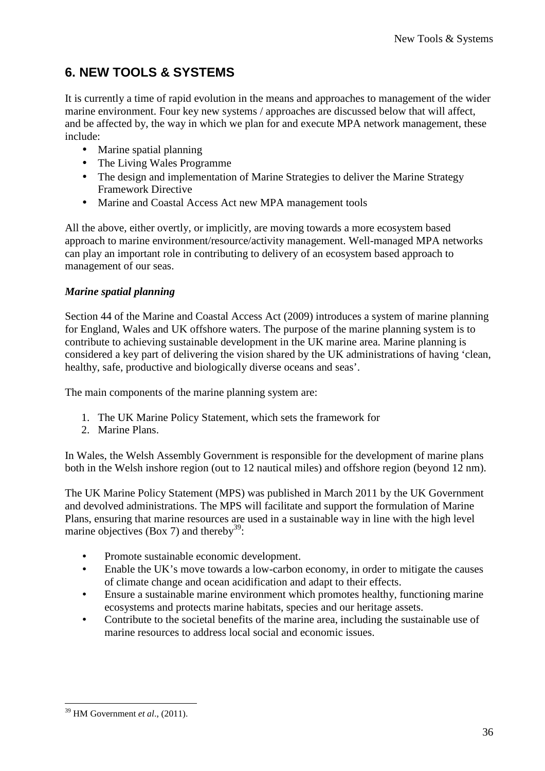# **6. NEW TOOLS & SYSTEMS**

It is currently a time of rapid evolution in the means and approaches to management of the wider marine environment. Four key new systems / approaches are discussed below that will affect, and be affected by, the way in which we plan for and execute MPA network management, these include:

- Marine spatial planning
- The Living Wales Programme
- The design and implementation of Marine Strategies to deliver the Marine Strategy Framework Directive
- Marine and Coastal Access Act new MPA management tools

All the above, either overtly, or implicitly, are moving towards a more ecosystem based approach to marine environment/resource/activity management. Well-managed MPA networks can play an important role in contributing to delivery of an ecosystem based approach to management of our seas.

## *Marine spatial planning*

Section 44 of the Marine and Coastal Access Act (2009) introduces a system of marine planning for England, Wales and UK offshore waters. The purpose of the marine planning system is to contribute to achieving sustainable development in the UK marine area. Marine planning is considered a key part of delivering the vision shared by the UK administrations of having 'clean, healthy, safe, productive and biologically diverse oceans and seas'.

The main components of the marine planning system are:

- 1. The UK Marine Policy Statement, which sets the framework for
- 2. Marine Plans.

In Wales, the Welsh Assembly Government is responsible for the development of marine plans both in the Welsh inshore region (out to 12 nautical miles) and offshore region (beyond 12 nm).

The UK Marine Policy Statement (MPS) was published in March 2011 by the UK Government and devolved administrations. The MPS will facilitate and support the formulation of Marine Plans, ensuring that marine resources are used in a sustainable way in line with the high level marine objectives (Box 7) and thereby<sup>39</sup>:

- Promote sustainable economic development.
- Enable the UK's move towards a low-carbon economy, in order to mitigate the causes of climate change and ocean acidification and adapt to their effects.
- Ensure a sustainable marine environment which promotes healthy, functioning marine ecosystems and protects marine habitats, species and our heritage assets.
- Contribute to the societal benefits of the marine area, including the sustainable use of marine resources to address local social and economic issues.

 $\overline{a}$ <sup>39</sup> HM Government *et al*., (2011).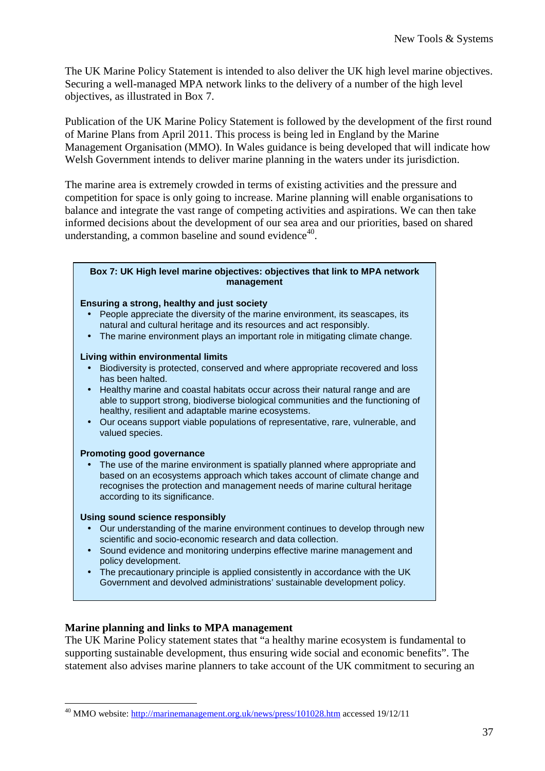The UK Marine Policy Statement is intended to also deliver the UK high level marine objectives. Securing a well-managed MPA network links to the delivery of a number of the high level objectives, as illustrated in Box 7.

Publication of the UK Marine Policy Statement is followed by the development of the first round of Marine Plans from April 2011. This process is being led in England by the Marine Management Organisation (MMO). In Wales guidance is being developed that will indicate how Welsh Government intends to deliver marine planning in the waters under its jurisdiction.

The marine area is extremely crowded in terms of existing activities and the pressure and competition for space is only going to increase. Marine planning will enable organisations to balance and integrate the vast range of competing activities and aspirations. We can then take informed decisions about the development of our sea area and our priorities, based on shared understanding, a common baseline and sound evidence $40$ .

#### **Box 7: UK High level marine objectives: objectives that link to MPA network management**

#### **Ensuring a strong, healthy and just society**

- People appreciate the diversity of the marine environment, its seascapes, its natural and cultural heritage and its resources and act responsibly.
- The marine environment plays an important role in mitigating climate change.

#### **Living within environmental limits**

- Biodiversity is protected, conserved and where appropriate recovered and loss has been halted.
- Healthy marine and coastal habitats occur across their natural range and are able to support strong, biodiverse biological communities and the functioning of healthy, resilient and adaptable marine ecosystems.
- Our oceans support viable populations of representative, rare, vulnerable, and valued species.

#### **Promoting good governance**

• The use of the marine environment is spatially planned where appropriate and based on an ecosystems approach which takes account of climate change and recognises the protection and management needs of marine cultural heritage according to its significance.

#### **Using sound science responsibly**

 $\overline{a}$ 

- Our understanding of the marine environment continues to develop through new scientific and socio-economic research and data collection.
- Sound evidence and monitoring underpins effective marine management and policy development.
- The precautionary principle is applied consistently in accordance with the UK Government and devolved administrations' sustainable development policy.

#### **Marine planning and links to MPA management**

The UK Marine Policy statement states that "a healthy marine ecosystem is fundamental to supporting sustainable development, thus ensuring wide social and economic benefits". The statement also advises marine planners to take account of the UK commitment to securing an

<sup>&</sup>lt;sup>40</sup> MMO website: http://marinemanagement.org.uk/news/press/101028.htm accessed 19/12/11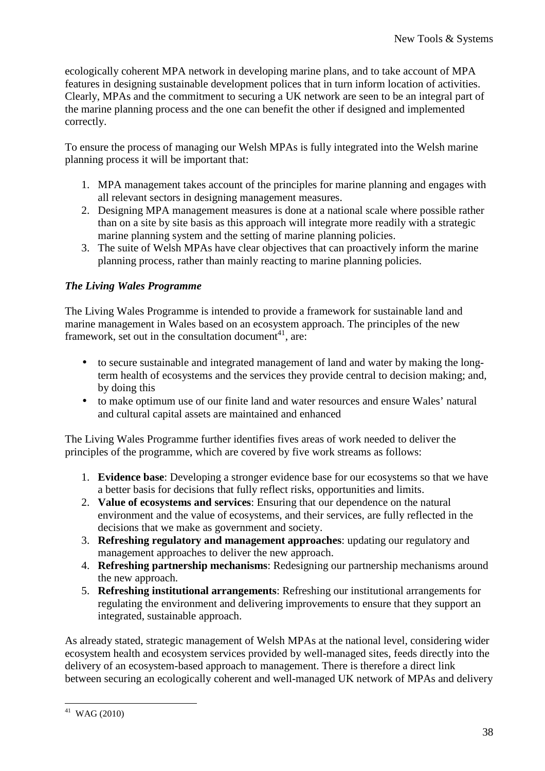ecologically coherent MPA network in developing marine plans, and to take account of MPA features in designing sustainable development polices that in turn inform location of activities. Clearly, MPAs and the commitment to securing a UK network are seen to be an integral part of the marine planning process and the one can benefit the other if designed and implemented correctly.

To ensure the process of managing our Welsh MPAs is fully integrated into the Welsh marine planning process it will be important that:

- 1. MPA management takes account of the principles for marine planning and engages with all relevant sectors in designing management measures.
- 2. Designing MPA management measures is done at a national scale where possible rather than on a site by site basis as this approach will integrate more readily with a strategic marine planning system and the setting of marine planning policies.
- 3. The suite of Welsh MPAs have clear objectives that can proactively inform the marine planning process, rather than mainly reacting to marine planning policies.

## *The Living Wales Programme*

The Living Wales Programme is intended to provide a framework for sustainable land and marine management in Wales based on an ecosystem approach. The principles of the new framework, set out in the consultation document<sup>41</sup>, are:

- to secure sustainable and integrated management of land and water by making the longterm health of ecosystems and the services they provide central to decision making; and, by doing this
- to make optimum use of our finite land and water resources and ensure Wales' natural and cultural capital assets are maintained and enhanced

The Living Wales Programme further identifies fives areas of work needed to deliver the principles of the programme, which are covered by five work streams as follows:

- 1. **Evidence base**: Developing a stronger evidence base for our ecosystems so that we have a better basis for decisions that fully reflect risks, opportunities and limits.
- 2. **Value of ecosystems and services**: Ensuring that our dependence on the natural environment and the value of ecosystems, and their services, are fully reflected in the decisions that we make as government and society.
- 3. **Refreshing regulatory and management approaches**: updating our regulatory and management approaches to deliver the new approach.
- 4. **Refreshing partnership mechanisms**: Redesigning our partnership mechanisms around the new approach.
- 5. **Refreshing institutional arrangements**: Refreshing our institutional arrangements for regulating the environment and delivering improvements to ensure that they support an integrated, sustainable approach.

As already stated, strategic management of Welsh MPAs at the national level, considering wider ecosystem health and ecosystem services provided by well-managed sites, feeds directly into the delivery of an ecosystem-based approach to management. There is therefore a direct link between securing an ecologically coherent and well-managed UK network of MPAs and delivery

 $\overline{a}$  $41$  WAG (2010)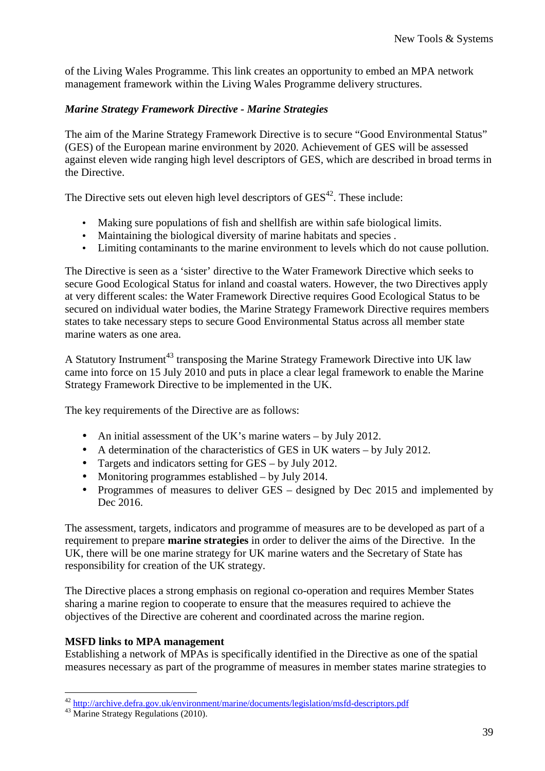of the Living Wales Programme. This link creates an opportunity to embed an MPA network management framework within the Living Wales Programme delivery structures.

## *Marine Strategy Framework Directive - Marine Strategies*

The aim of the Marine Strategy Framework Directive is to secure "Good Environmental Status" (GES) of the European marine environment by 2020. Achievement of GES will be assessed against eleven wide ranging high level descriptors of GES, which are described in broad terms in the Directive.

The Directive sets out eleven high level descriptors of  $GES<sup>42</sup>$ . These include:

- Making sure populations of fish and shellfish are within safe biological limits.
- Maintaining the biological diversity of marine habitats and species .
- Limiting contaminants to the marine environment to levels which do not cause pollution.

The Directive is seen as a 'sister' directive to the Water Framework Directive which seeks to secure Good Ecological Status for inland and coastal waters. However, the two Directives apply at very different scales: the Water Framework Directive requires Good Ecological Status to be secured on individual water bodies, the Marine Strategy Framework Directive requires members states to take necessary steps to secure Good Environmental Status across all member state marine waters as one area.

A Statutory Instrument<sup>43</sup> transposing the Marine Strategy Framework Directive into UK law came into force on 15 July 2010 and puts in place a clear legal framework to enable the Marine Strategy Framework Directive to be implemented in the UK.

The key requirements of the Directive are as follows:

- An initial assessment of the UK's marine waters by July 2012.
- A determination of the characteristics of GES in UK waters by July 2012.
- Targets and indicators setting for GES by July 2012.
- Monitoring programmes established by July 2014.
- Programmes of measures to deliver GES designed by Dec 2015 and implemented by Dec 2016.

The assessment, targets, indicators and programme of measures are to be developed as part of a requirement to prepare **marine strategies** in order to deliver the aims of the Directive. In the UK, there will be one marine strategy for UK marine waters and the Secretary of State has responsibility for creation of the UK strategy.

The Directive places a strong emphasis on regional co-operation and requires Member States sharing a marine region to cooperate to ensure that the measures required to achieve the objectives of the Directive are coherent and coordinated across the marine region.

#### **MSFD links to MPA management**

Establishing a network of MPAs is specifically identified in the Directive as one of the spatial measures necessary as part of the programme of measures in member states marine strategies to

<sup>&</sup>lt;sup>42</sup> http://archive.defra.gov.uk/environment/marine/documents/legislation/msfd-descriptors.pdf

<sup>43</sup> Marine Strategy Regulations (2010).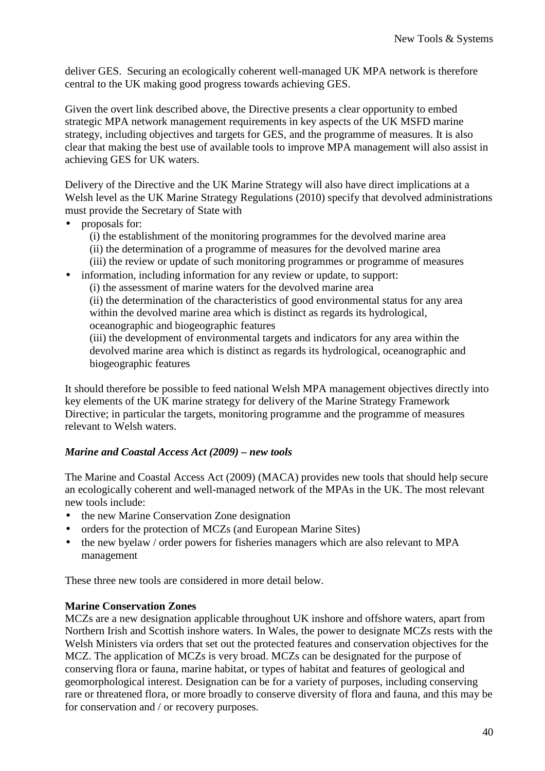deliver GES. Securing an ecologically coherent well-managed UK MPA network is therefore central to the UK making good progress towards achieving GES.

Given the overt link described above, the Directive presents a clear opportunity to embed strategic MPA network management requirements in key aspects of the UK MSFD marine strategy, including objectives and targets for GES, and the programme of measures. It is also clear that making the best use of available tools to improve MPA management will also assist in achieving GES for UK waters.

Delivery of the Directive and the UK Marine Strategy will also have direct implications at a Welsh level as the UK Marine Strategy Regulations (2010) specify that devolved administrations must provide the Secretary of State with

- proposals for:
	- (i) the establishment of the monitoring programmes for the devolved marine area
	- (ii) the determination of a programme of measures for the devolved marine area
	- (iii) the review or update of such monitoring programmes or programme of measures
- information, including information for any review or update, to support:
	- (i) the assessment of marine waters for the devolved marine area

(ii) the determination of the characteristics of good environmental status for any area within the devolved marine area which is distinct as regards its hydrological, oceanographic and biogeographic features

(iii) the development of environmental targets and indicators for any area within the devolved marine area which is distinct as regards its hydrological, oceanographic and biogeographic features

It should therefore be possible to feed national Welsh MPA management objectives directly into key elements of the UK marine strategy for delivery of the Marine Strategy Framework Directive; in particular the targets, monitoring programme and the programme of measures relevant to Welsh waters.

## *Marine and Coastal Access Act (2009) – new tools*

The Marine and Coastal Access Act (2009) (MACA) provides new tools that should help secure an ecologically coherent and well-managed network of the MPAs in the UK. The most relevant new tools include:

- the new Marine Conservation Zone designation
- orders for the protection of MCZs (and European Marine Sites)
- the new byelaw / order powers for fisheries managers which are also relevant to MPA management

These three new tools are considered in more detail below.

## **Marine Conservation Zones**

MCZs are a new designation applicable throughout UK inshore and offshore waters, apart from Northern Irish and Scottish inshore waters. In Wales, the power to designate MCZs rests with the Welsh Ministers via orders that set out the protected features and conservation objectives for the MCZ. The application of MCZs is very broad. MCZs can be designated for the purpose of conserving flora or fauna, marine habitat, or types of habitat and features of geological and geomorphological interest. Designation can be for a variety of purposes, including conserving rare or threatened flora, or more broadly to conserve diversity of flora and fauna, and this may be for conservation and / or recovery purposes.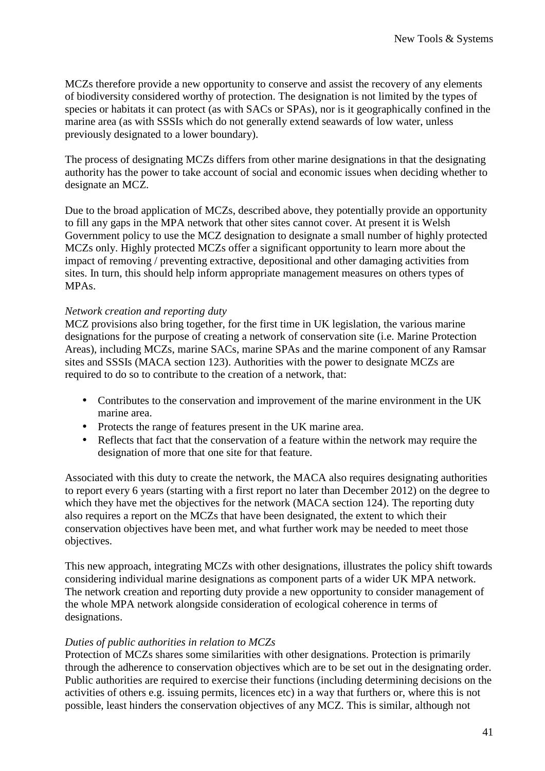MCZs therefore provide a new opportunity to conserve and assist the recovery of any elements of biodiversity considered worthy of protection. The designation is not limited by the types of species or habitats it can protect (as with SACs or SPAs), nor is it geographically confined in the marine area (as with SSSIs which do not generally extend seawards of low water, unless previously designated to a lower boundary).

The process of designating MCZs differs from other marine designations in that the designating authority has the power to take account of social and economic issues when deciding whether to designate an MCZ.

Due to the broad application of MCZs, described above, they potentially provide an opportunity to fill any gaps in the MPA network that other sites cannot cover. At present it is Welsh Government policy to use the MCZ designation to designate a small number of highly protected MCZs only. Highly protected MCZs offer a significant opportunity to learn more about the impact of removing / preventing extractive, depositional and other damaging activities from sites. In turn, this should help inform appropriate management measures on others types of MPAs.

## *Network creation and reporting duty*

MCZ provisions also bring together, for the first time in UK legislation, the various marine designations for the purpose of creating a network of conservation site (i.e. Marine Protection Areas), including MCZs, marine SACs, marine SPAs and the marine component of any Ramsar sites and SSSIs (MACA section 123). Authorities with the power to designate MCZs are required to do so to contribute to the creation of a network, that:

- Contributes to the conservation and improvement of the marine environment in the UK marine area.
- Protects the range of features present in the UK marine area.
- Reflects that fact that the conservation of a feature within the network may require the designation of more that one site for that feature.

Associated with this duty to create the network, the MACA also requires designating authorities to report every 6 years (starting with a first report no later than December 2012) on the degree to which they have met the objectives for the network (MACA section 124). The reporting duty also requires a report on the MCZs that have been designated, the extent to which their conservation objectives have been met, and what further work may be needed to meet those objectives.

This new approach, integrating MCZs with other designations, illustrates the policy shift towards considering individual marine designations as component parts of a wider UK MPA network. The network creation and reporting duty provide a new opportunity to consider management of the whole MPA network alongside consideration of ecological coherence in terms of designations.

#### *Duties of public authorities in relation to MCZs*

Protection of MCZs shares some similarities with other designations. Protection is primarily through the adherence to conservation objectives which are to be set out in the designating order. Public authorities are required to exercise their functions (including determining decisions on the activities of others e.g. issuing permits, licences etc) in a way that furthers or, where this is not possible, least hinders the conservation objectives of any MCZ. This is similar, although not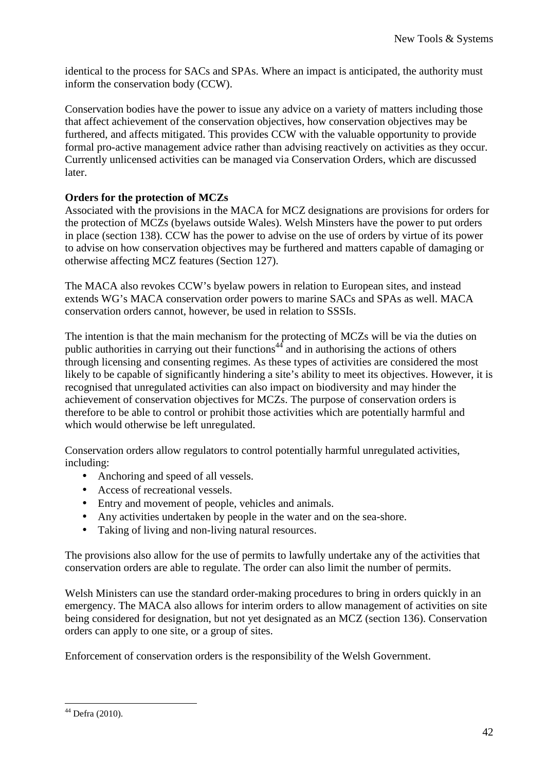identical to the process for SACs and SPAs. Where an impact is anticipated, the authority must inform the conservation body (CCW).

Conservation bodies have the power to issue any advice on a variety of matters including those that affect achievement of the conservation objectives, how conservation objectives may be furthered, and affects mitigated. This provides CCW with the valuable opportunity to provide formal pro-active management advice rather than advising reactively on activities as they occur. Currently unlicensed activities can be managed via Conservation Orders, which are discussed later.

## **Orders for the protection of MCZs**

Associated with the provisions in the MACA for MCZ designations are provisions for orders for the protection of MCZs (byelaws outside Wales). Welsh Minsters have the power to put orders in place (section 138). CCW has the power to advise on the use of orders by virtue of its power to advise on how conservation objectives may be furthered and matters capable of damaging or otherwise affecting MCZ features (Section 127).

The MACA also revokes CCW's byelaw powers in relation to European sites, and instead extends WG's MACA conservation order powers to marine SACs and SPAs as well. MACA conservation orders cannot, however, be used in relation to SSSIs.

The intention is that the main mechanism for the protecting of MCZs will be via the duties on public authorities in carrying out their functions<sup>44</sup> and in authorising the actions of others through licensing and consenting regimes. As these types of activities are considered the most likely to be capable of significantly hindering a site's ability to meet its objectives. However, it is recognised that unregulated activities can also impact on biodiversity and may hinder the achievement of conservation objectives for MCZs. The purpose of conservation orders is therefore to be able to control or prohibit those activities which are potentially harmful and which would otherwise be left unregulated.

Conservation orders allow regulators to control potentially harmful unregulated activities, including:

- Anchoring and speed of all vessels.
- Access of recreational vessels.
- Entry and movement of people, vehicles and animals.
- Any activities undertaken by people in the water and on the sea-shore.
- Taking of living and non-living natural resources.

The provisions also allow for the use of permits to lawfully undertake any of the activities that conservation orders are able to regulate. The order can also limit the number of permits.

Welsh Ministers can use the standard order-making procedures to bring in orders quickly in an emergency. The MACA also allows for interim orders to allow management of activities on site being considered for designation, but not yet designated as an MCZ (section 136). Conservation orders can apply to one site, or a group of sites.

Enforcement of conservation orders is the responsibility of the Welsh Government.

 $\overline{a}$ <sup>44</sup> Defra (2010).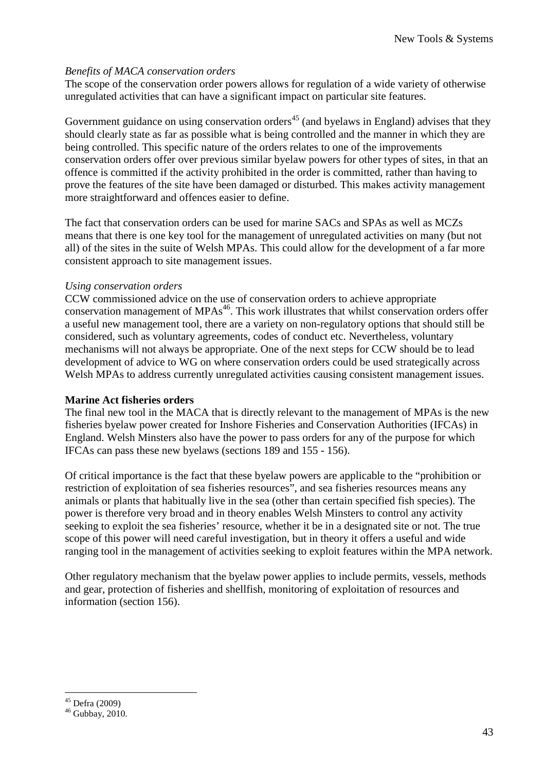### *Benefits of MACA conservation orders*

The scope of the conservation order powers allows for regulation of a wide variety of otherwise unregulated activities that can have a significant impact on particular site features.

Government guidance on using conservation orders<sup>45</sup> (and byelaws in England) advises that they should clearly state as far as possible what is being controlled and the manner in which they are being controlled. This specific nature of the orders relates to one of the improvements conservation orders offer over previous similar byelaw powers for other types of sites, in that an offence is committed if the activity prohibited in the order is committed, rather than having to prove the features of the site have been damaged or disturbed. This makes activity management more straightforward and offences easier to define.

The fact that conservation orders can be used for marine SACs and SPAs as well as MCZs means that there is one key tool for the management of unregulated activities on many (but not all) of the sites in the suite of Welsh MPAs. This could allow for the development of a far more consistent approach to site management issues.

## *Using conservation orders*

CCW commissioned advice on the use of conservation orders to achieve appropriate conservation management of  $MPAs<sup>46</sup>$ . This work illustrates that whilst conservation orders offer a useful new management tool, there are a variety on non-regulatory options that should still be considered, such as voluntary agreements, codes of conduct etc. Nevertheless, voluntary mechanisms will not always be appropriate. One of the next steps for CCW should be to lead development of advice to WG on where conservation orders could be used strategically across Welsh MPAs to address currently unregulated activities causing consistent management issues.

## **Marine Act fisheries orders**

The final new tool in the MACA that is directly relevant to the management of MPAs is the new fisheries byelaw power created for Inshore Fisheries and Conservation Authorities (IFCAs) in England. Welsh Minsters also have the power to pass orders for any of the purpose for which IFCAs can pass these new byelaws (sections 189 and 155 - 156).

Of critical importance is the fact that these byelaw powers are applicable to the "prohibition or restriction of exploitation of sea fisheries resources", and sea fisheries resources means any animals or plants that habitually live in the sea (other than certain specified fish species). The power is therefore very broad and in theory enables Welsh Minsters to control any activity seeking to exploit the sea fisheries' resource, whether it be in a designated site or not. The true scope of this power will need careful investigation, but in theory it offers a useful and wide ranging tool in the management of activities seeking to exploit features within the MPA network.

Other regulatory mechanism that the byelaw power applies to include permits, vessels, methods and gear, protection of fisheries and shellfish, monitoring of exploitation of resources and information (section 156).

<sup>45</sup> Defra (2009)

 $46$  Gubbay, 2010.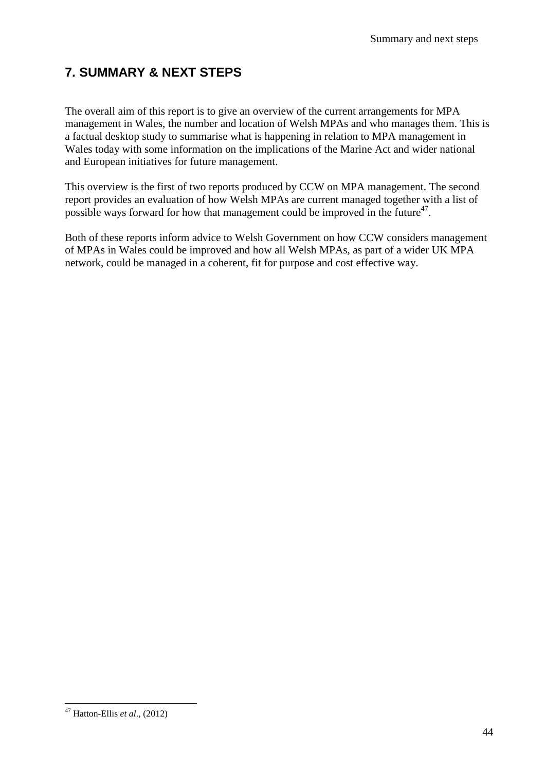# **7. SUMMARY & NEXT STEPS**

The overall aim of this report is to give an overview of the current arrangements for MPA management in Wales, the number and location of Welsh MPAs and who manages them. This is a factual desktop study to summarise what is happening in relation to MPA management in Wales today with some information on the implications of the Marine Act and wider national and European initiatives for future management.

This overview is the first of two reports produced by CCW on MPA management. The second report provides an evaluation of how Welsh MPAs are current managed together with a list of possible ways forward for how that management could be improved in the future $47$ .

Both of these reports inform advice to Welsh Government on how CCW considers management of MPAs in Wales could be improved and how all Welsh MPAs, as part of a wider UK MPA network, could be managed in a coherent, fit for purpose and cost effective way.

 $\overline{a}$ <sup>47</sup> Hatton-Ellis *et al*., (2012)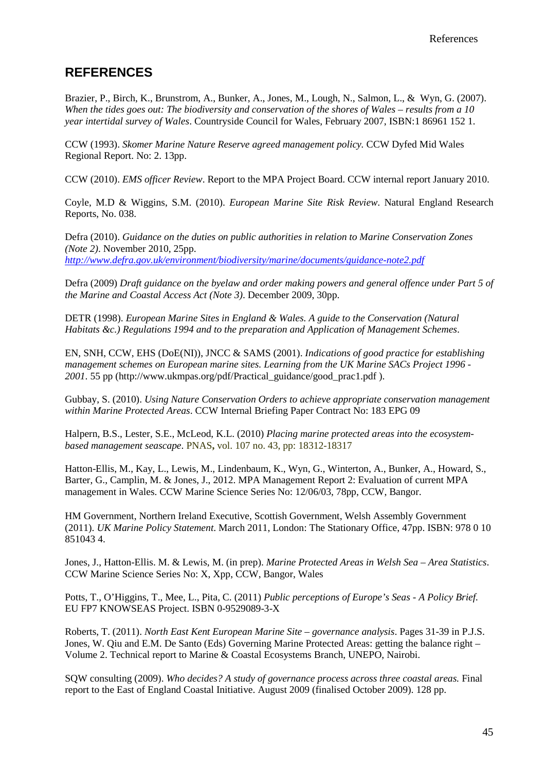## **REFERENCES**

Brazier, P., Birch, K., Brunstrom, A., Bunker, A., Jones, M., Lough, N., Salmon, L., & Wyn, G. (2007). *When the tides goes out: The biodiversity and conservation of the shores of Wales – results from a 10 year intertidal survey of Wales*. Countryside Council for Wales, February 2007, ISBN:1 86961 152 1.

CCW (1993). *Skomer Marine Nature Reserve agreed management policy.* CCW Dyfed Mid Wales Regional Report. No: 2. 13pp.

CCW (2010). *EMS officer Review*. Report to the MPA Project Board. CCW internal report January 2010.

Coyle, M.D & Wiggins, S.M. (2010). *European Marine Site Risk Review*. Natural England Research Reports, No. 038.

Defra (2010). *Guidance on the duties on public authorities in relation to Marine Conservation Zones (Note 2)*. November 2010, 25pp. *http://www.defra.gov.uk/environment/biodiversity/marine/documents/guidance-note2.pdf* 

Defra (2009) *Draft guidance on the byelaw and order making powers and general offence under Part 5 of the Marine and Coastal Access Act (Note 3)*. December 2009, 30pp.

DETR (1998). *European Marine Sites in England & Wales. A guide to the Conservation (Natural Habitats &c.) Regulations 1994 and to the preparation and Application of Management Schemes*.

EN, SNH, CCW, EHS (DoE(NI)), JNCC & SAMS (2001). *Indications of good practice for establishing management schemes on European marine sites. Learning from the UK Marine SACs Project 1996 - 2001*. 55 pp (http://www.ukmpas.org/pdf/Practical\_guidance/good\_prac1.pdf ).

Gubbay, S. (2010). *Using Nature Conservation Orders to achieve appropriate conservation management within Marine Protected Areas*. CCW Internal Briefing Paper Contract No: 183 EPG 09

Halpern, B.S., Lester, S.E., McLeod, K.L. (2010) *Placing marine protected areas into the ecosystembased management seascape*. PNAS**,** vol. 107 no. 43, pp: 18312-18317

Hatton-Ellis, M., Kay, L., Lewis, M., Lindenbaum, K., Wyn, G., Winterton, A., Bunker, A., Howard, S., Barter, G., Camplin, M. & Jones, J., 2012. MPA Management Report 2: Evaluation of current MPA management in Wales. CCW Marine Science Series No: 12/06/03, 78pp, CCW, Bangor.

HM Government, Northern Ireland Executive, Scottish Government, Welsh Assembly Government (2011). *UK Marine Policy Statement*. March 2011, London: The Stationary Office, 47pp. ISBN: 978 0 10 851043 4.

Jones, J., Hatton-Ellis. M. & Lewis, M. (in prep). *Marine Protected Areas in Welsh Sea – Area Statistics*. CCW Marine Science Series No: X, Xpp, CCW, Bangor, Wales

Potts, T., O'Higgins, T., Mee, L., Pita, C. (2011) *Public perceptions of Europe's Seas - A Policy Brief.*  EU FP7 KNOWSEAS Project. ISBN 0-9529089-3-X

Roberts, T. (2011). *North East Kent European Marine Site – governance analysis*. Pages 31-39 in P.J.S. Jones, W. Qiu and E.M. De Santo (Eds) Governing Marine Protected Areas: getting the balance right – Volume 2. Technical report to Marine & Coastal Ecosystems Branch, UNEPO, Nairobi.

SQW consulting (2009). *Who decides? A study of governance process across three coastal areas.* Final report to the East of England Coastal Initiative. August 2009 (finalised October 2009). 128 pp.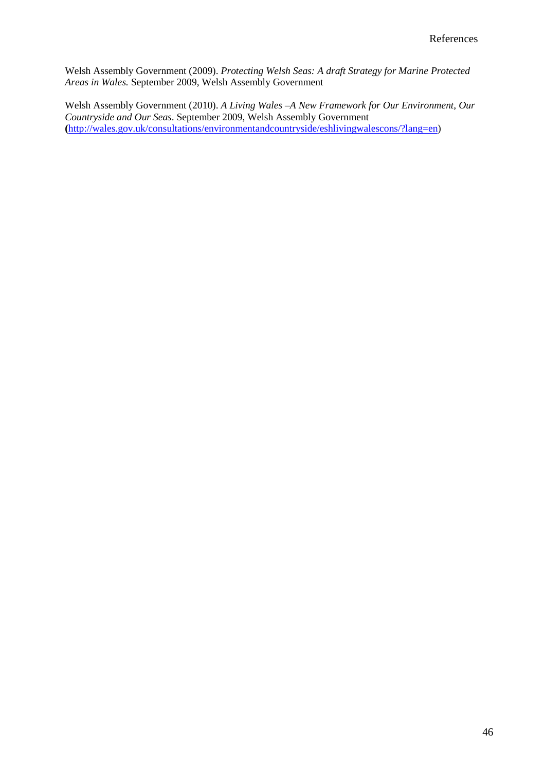Welsh Assembly Government (2009). *Protecting Welsh Seas: A draft Strategy for Marine Protected Areas in Wales.* September 2009, Welsh Assembly Government

Welsh Assembly Government (2010). *A Living Wales –A New Framework for Our Environment, Our Countryside and Our Seas*. September 2009, Welsh Assembly Government **(**http://wales.gov.uk/consultations/environmentandcountryside/eshlivingwalescons/?lang=en)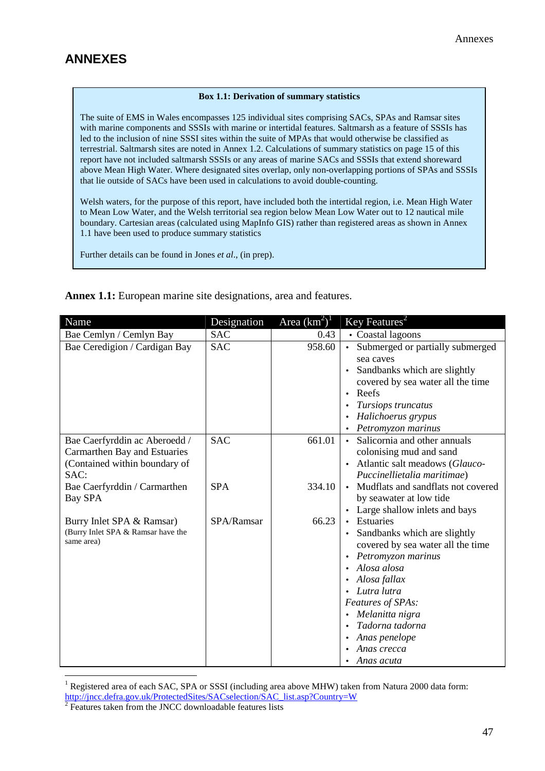## **ANNEXES**

#### **Box 1.1: Derivation of summary statistics**

The suite of EMS in Wales encompasses 125 individual sites comprising SACs, SPAs and Ramsar sites with marine components and SSSIs with marine or intertidal features. Saltmarsh as a feature of SSSIs has led to the inclusion of nine SSSI sites within the suite of MPAs that would otherwise be classified as terrestrial. Saltmarsh sites are noted in Annex 1.2. Calculations of summary statistics on page 15 of this report have not included saltmarsh SSSIs or any areas of marine SACs and SSSIs that extend shoreward above Mean High Water. Where designated sites overlap, only non-overlapping portions of SPAs and SSSIs that lie outside of SACs have been used in calculations to avoid double-counting.

Welsh waters, for the purpose of this report, have included both the intertidal region, i.e. Mean High Water to Mean Low Water, and the Welsh territorial sea region below Mean Low Water out to 12 nautical mile boundary. Cartesian areas (calculated using MapInfo GIS) rather than registered areas as shown in Annex 1.1 have been used to produce summary statistics

Further details can be found in Jones *et al*., (in prep).

**Annex 1.1:** European marine site designations, area and features.

| Name                                             | Designation | Area $(km^2)^1$ | Key Features <sup>2</sup>                       |
|--------------------------------------------------|-------------|-----------------|-------------------------------------------------|
| Bae Cemlyn / Cemlyn Bay                          | <b>SAC</b>  | 0.43            | • Coastal lagoons                               |
| Bae Ceredigion / Cardigan Bay                    | <b>SAC</b>  | 958.60          | Submerged or partially submerged<br>$\bullet$   |
|                                                  |             |                 | sea caves                                       |
|                                                  |             |                 | Sandbanks which are slightly                    |
|                                                  |             |                 | covered by sea water all the time               |
|                                                  |             |                 | Reefs<br>$\bullet$                              |
|                                                  |             |                 | Tursiops truncatus                              |
|                                                  |             |                 | Halichoerus grypus                              |
|                                                  |             |                 | Petromyzon marinus                              |
| Bae Caerfyrddin ac Aberoedd /                    | <b>SAC</b>  | 661.01          | • Salicornia and other annuals                  |
| Carmarthen Bay and Estuaries                     |             |                 | colonising mud and sand                         |
| (Contained within boundary of                    |             |                 | Atlantic salt meadows (Glauco-                  |
| SAC:                                             |             |                 | Puccinellietalia maritimae)                     |
| Bae Caerfyrddin / Carmarthen                     | <b>SPA</b>  | 334.10          | Mudflats and sandflats not covered<br>$\bullet$ |
| <b>Bay SPA</b>                                   |             |                 | by seawater at low tide                         |
|                                                  |             |                 | Large shallow inlets and bays                   |
| Burry Inlet SPA & Ramsar)                        | SPA/Ramsar  | 66.23           | Estuaries                                       |
| (Burry Inlet SPA & Ramsar have the<br>same area) |             |                 | Sandbanks which are slightly<br>$\bullet$       |
|                                                  |             |                 | covered by sea water all the time               |
|                                                  |             |                 | Petromyzon marinus                              |
|                                                  |             |                 | Alosa alosa                                     |
|                                                  |             |                 | • Alosa fallax                                  |
|                                                  |             |                 | • Lutra lutra                                   |
|                                                  |             |                 | Features of SPAs:                               |
|                                                  |             |                 | Melanitta nigra                                 |
|                                                  |             |                 | Tadorna tadorna                                 |
|                                                  |             |                 | Anas penelope                                   |
|                                                  |             |                 | Anas crecca                                     |
|                                                  |             |                 | • Anas acuta                                    |

<sup>&</sup>lt;sup>1</sup> Registered area of each SAC, SPA or SSSI (including area above MHW) taken from Natura 2000 data form: http://jncc.defra.gov.uk/ProtectedSites/SACselection/SAC\_list.asp?Country=W <sup>2</sup>

Features taken from the JNCC downloadable features lists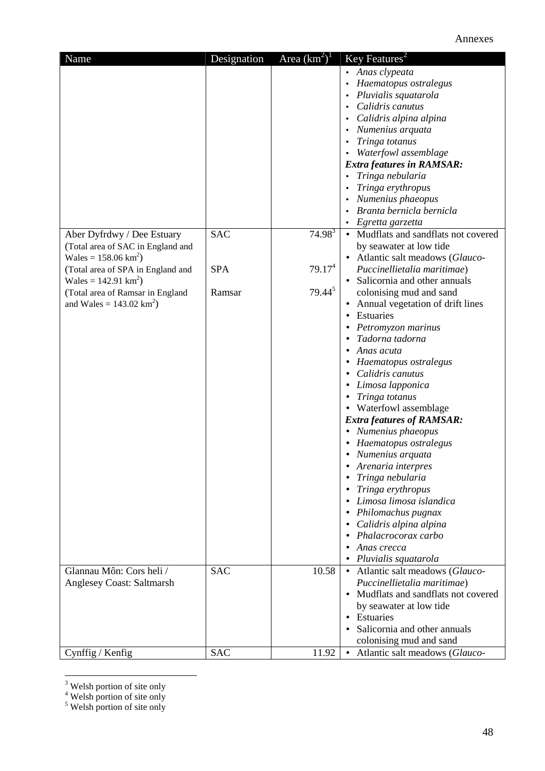| Name                                | Designation | Area $(km^2)^1$    | $\overline{\text{Key Features}}^2$   |
|-------------------------------------|-------------|--------------------|--------------------------------------|
|                                     |             |                    | • Anas clypeata                      |
|                                     |             |                    | Haematopus ostralegus                |
|                                     |             |                    | Pluvialis squatarola                 |
|                                     |             |                    | Calidris canutus                     |
|                                     |             |                    | Calidris alpina alpina               |
|                                     |             |                    | Numenius arquata                     |
|                                     |             |                    | Tringa totanus                       |
|                                     |             |                    | Waterfowl assemblage                 |
|                                     |             |                    | <b>Extra features in RAMSAR:</b>     |
|                                     |             |                    | Tringa nebularia                     |
|                                     |             |                    | Tringa erythropus                    |
|                                     |             |                    | Numenius phaeopus                    |
|                                     |             |                    | Branta bernicla bernicla             |
|                                     |             |                    | Egretta garzetta                     |
| Aber Dyfrdwy / Dee Estuary          | <b>SAC</b>  | $74.98^{3}$        | • Mudflats and sandflats not covered |
| (Total area of SAC in England and   |             |                    | by seawater at low tide              |
| Wales = $158.06 \text{ km}^2$ )     |             |                    | • Atlantic salt meadows (Glauco-     |
| (Total area of SPA in England and   | <b>SPA</b>  | 79.17 <sup>4</sup> | Puccinellietalia maritimae)          |
|                                     |             |                    | Salicornia and other annuals         |
| Wales = $142.91 \text{ km}^2$ )     |             | $79.44^{5}$        |                                      |
| (Total area of Ramsar in England    | Ramsar      |                    | colonising mud and sand              |
| and Wales = $143.02 \text{ km}^2$ ) |             |                    | Annual vegetation of drift lines     |
|                                     |             |                    | Estuaries                            |
|                                     |             |                    | Petromyzon marinus                   |
|                                     |             |                    | Tadorna tadorna                      |
|                                     |             |                    | Anas acuta                           |
|                                     |             |                    | Haematopus ostralegus                |
|                                     |             |                    | Calidris canutus                     |
|                                     |             |                    | Limosa lapponica                     |
|                                     |             |                    | Tringa totanus                       |
|                                     |             |                    | • Waterfowl assemblage               |
|                                     |             |                    | <b>Extra features of RAMSAR:</b>     |
|                                     |             |                    | • Numenius phaeopus                  |
|                                     |             |                    | Haematopus ostralegus                |
|                                     |             |                    | Numenius arquata                     |
|                                     |             |                    | Arenaria interpres                   |
|                                     |             |                    | Tringa nebularia                     |
|                                     |             |                    | Tringa erythropus                    |
|                                     |             |                    | Limosa limosa islandica              |
|                                     |             |                    | Philomachus pugnax                   |
|                                     |             |                    | Calidris alpina alpina               |
|                                     |             |                    | Phalacrocorax carbo                  |
|                                     |             |                    | Anas crecca                          |
|                                     |             |                    | Pluvialis squatarola                 |
| Glannau Môn: Cors heli /            | <b>SAC</b>  | 10.58              | • Atlantic salt meadows (Glauco-     |
| <b>Anglesey Coast: Saltmarsh</b>    |             |                    | Puccinellietalia maritimae)          |
|                                     |             |                    | Mudflats and sandflats not covered   |
|                                     |             |                    | by seawater at low tide              |
|                                     |             |                    | Estuaries<br>$\bullet$               |
|                                     |             |                    | Salicornia and other annuals         |
|                                     |             |                    | colonising mud and sand              |
|                                     | <b>SAC</b>  | 11.92              | • Atlantic salt meadows (Glauco-     |
| Cynffig / Kenfig                    |             |                    |                                      |

 $3 \text{ Welsh portion of site only}$ <br>  $4 \text{ Welsh portion of site only}$ <br>  $5 \text{ Welsh portion of site only}$ 

J.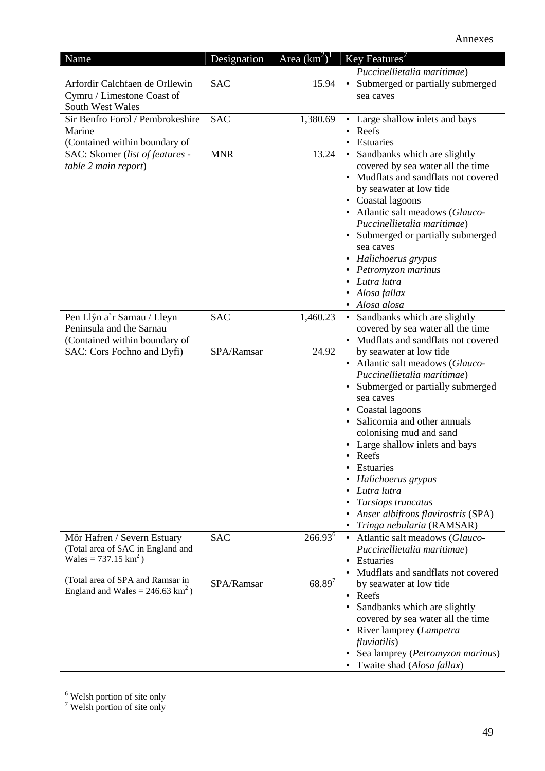| Name                                        | Designation | Area $(km^2)^1$     | Key Features <sup>2</sup>                        |
|---------------------------------------------|-------------|---------------------|--------------------------------------------------|
|                                             |             |                     | Puccinellietalia maritimae)                      |
| Arfordir Calchfaen de Orllewin              | <b>SAC</b>  | 15.94               | Submerged or partially submerged<br>$\bullet$    |
| Cymru / Limestone Coast of                  |             |                     | sea caves                                        |
| South West Wales                            |             |                     |                                                  |
| Sir Benfro Forol / Pembrokeshire            | <b>SAC</b>  | 1,380.69            | • Large shallow inlets and bays                  |
| Marine                                      |             |                     | Reefs                                            |
| (Contained within boundary of               |             |                     | Estuaries                                        |
| SAC: Skomer (list of features -             | <b>MNR</b>  | 13.24               | • Sandbanks which are slightly                   |
| table 2 main report)                        |             |                     | covered by sea water all the time                |
|                                             |             |                     | Mudflats and sandflats not covered               |
|                                             |             |                     | by seawater at low tide                          |
|                                             |             |                     | • Coastal lagoons                                |
|                                             |             |                     | • Atlantic salt meadows (Glauco-                 |
|                                             |             |                     | Puccinellietalia maritimae)                      |
|                                             |             |                     | • Submerged or partially submerged               |
|                                             |             |                     | sea caves                                        |
|                                             |             |                     | • Halichoerus grypus                             |
|                                             |             |                     | Petromyzon marinus<br>Lutra lutra                |
|                                             |             |                     | Alosa fallax                                     |
|                                             |             |                     | • Alosa alosa                                    |
| Pen Llŷn a'r Sarnau / Lleyn                 | <b>SAC</b>  | 1,460.23            | • Sandbanks which are slightly                   |
| Peninsula and the Sarnau                    |             |                     | covered by sea water all the time                |
| (Contained within boundary of               |             |                     | • Mudflats and sandflats not covered             |
| SAC: Cors Fochno and Dyfi)                  | SPA/Ramsar  | 24.92               | by seawater at low tide                          |
|                                             |             |                     | • Atlantic salt meadows (Glauco-                 |
|                                             |             |                     | Puccinellietalia maritimae)                      |
|                                             |             |                     | Submerged or partially submerged                 |
|                                             |             |                     | sea caves                                        |
|                                             |             |                     | • Coastal lagoons                                |
|                                             |             |                     | Salicornia and other annuals                     |
|                                             |             |                     | colonising mud and sand                          |
|                                             |             |                     | Large shallow inlets and bays                    |
|                                             |             |                     | • Reefs                                          |
|                                             |             |                     | Estuaries                                        |
|                                             |             |                     | Halichoerus grypus                               |
|                                             |             |                     | Lutra lutra                                      |
|                                             |             |                     | Tursiops truncatus                               |
|                                             |             |                     | Anser albifrons flavirostris (SPA)               |
|                                             |             |                     | Tringa nebularia (RAMSAR)                        |
| Môr Hafren / Severn Estuary                 | <b>SAC</b>  | 266.93 <sup>6</sup> | • Atlantic salt meadows (Glauco-                 |
| (Total area of SAC in England and           |             |                     | Puccinellietalia maritimae)                      |
| Wales = $737.15 \text{ km}^2$ )             |             |                     | Estuaries                                        |
| (Total area of SPA and Ramsar in            |             |                     | Mudflats and sandflats not covered               |
| England and Wales = $246.63 \text{ km}^2$ ) | SPA/Ramsar  | $68.89^{7}$         | by seawater at low tide                          |
|                                             |             |                     | $\bullet$ Reefs                                  |
|                                             |             |                     | Sandbanks which are slightly                     |
|                                             |             |                     | covered by sea water all the time                |
|                                             |             |                     | • River lamprey (Lampetra                        |
|                                             |             |                     | fluviatilis)<br>Sea lamprey (Petromyzon marinus) |
|                                             |             |                     | Twaite shad (Alosa fallax)                       |

 $\frac{6}{7}$  Welsh portion of site only  $\frac{7}{7}$  Welsh portion of site only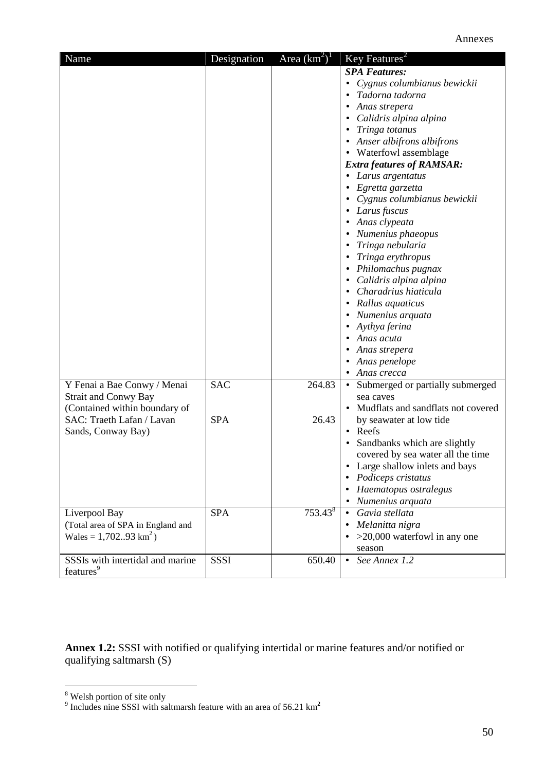| Name                              | Designation | Area $(km^2)^1$     | Key Features <sup>2</sup>              |
|-----------------------------------|-------------|---------------------|----------------------------------------|
|                                   |             |                     | <b>SPA Features:</b>                   |
|                                   |             |                     | Cygnus columbianus bewickii            |
|                                   |             |                     | Tadorna tadorna                        |
|                                   |             |                     | Anas strepera                          |
|                                   |             |                     | Calidris alpina alpina<br>$\bullet$    |
|                                   |             |                     | Tringa totanus<br>٠                    |
|                                   |             |                     | • Anser albifrons albifrons            |
|                                   |             |                     | • Waterfowl assemblage                 |
|                                   |             |                     | <b>Extra features of RAMSAR:</b>       |
|                                   |             |                     | • Larus argentatus                     |
|                                   |             |                     | Egretta garzetta                       |
|                                   |             |                     |                                        |
|                                   |             |                     | Cygnus columbianus bewickii            |
|                                   |             |                     | Larus fuscus                           |
|                                   |             |                     | • Anas clypeata                        |
|                                   |             |                     | Numenius phaeopus                      |
|                                   |             |                     | Tringa nebularia                       |
|                                   |             |                     | Tringa erythropus                      |
|                                   |             |                     | Philomachus pugnax                     |
|                                   |             |                     | Calidris alpina alpina                 |
|                                   |             |                     | Charadrius hiaticula                   |
|                                   |             |                     | • Rallus aquaticus                     |
|                                   |             |                     | Numenius arquata                       |
|                                   |             |                     | Aythya ferina                          |
|                                   |             |                     | Anas acuta                             |
|                                   |             |                     | Anas strepera                          |
|                                   |             |                     | • Anas penelope                        |
|                                   |             |                     | Anas crecca                            |
| Y Fenai a Bae Conwy / Menai       | <b>SAC</b>  | 264.83              | • Submerged or partially submerged     |
| <b>Strait and Conwy Bay</b>       |             |                     | sea caves                              |
| (Contained within boundary of     |             |                     | Mudflats and sandflats not covered     |
| SAC: Traeth Lafan / Lavan         | <b>SPA</b>  | 26.43               | by seawater at low tide                |
| Sands, Conway Bay)                |             |                     | • Reefs                                |
|                                   |             |                     | Sandbanks which are slightly           |
|                                   |             |                     | covered by sea water all the time      |
|                                   |             |                     | Large shallow inlets and bays          |
|                                   |             |                     | Podiceps cristatus                     |
|                                   |             |                     | Haematopus ostralegus                  |
|                                   |             |                     | Numenius arquata                       |
| Liverpool Bay                     | <b>SPA</b>  | 753.43 <sup>8</sup> | Gavia stellata                         |
| (Total area of SPA in England and |             |                     | Melanitta nigra<br>$\bullet$           |
| Wales = $1,70293 \text{ km}^2$ )  |             |                     | $\bullet$ >20,000 waterfowl in any one |
|                                   |             |                     | season                                 |
| SSSIs with intertidal and marine  | <b>SSSI</b> | 650.40              | See Annex 1.2<br>$\bullet$             |
| features <sup>9</sup>             |             |                     |                                        |

**Annex 1.2:** SSSI with notified or qualifying intertidal or marine features and/or notified or qualifying saltmarsh (S)

<sup>&</sup>lt;sup>8</sup><br><sup>9</sup> Includes nine SSSI with saltmarsh feature with an area of 56.21 km<sup>2</sup>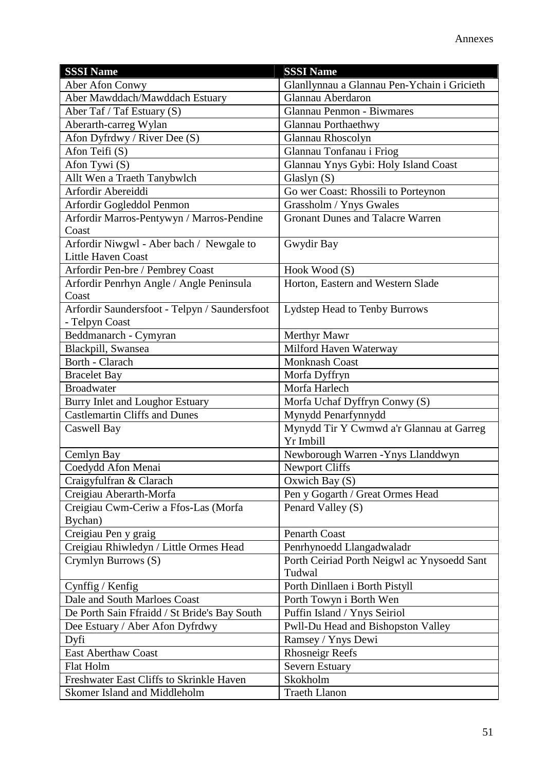| <b>SSSI Name</b>                              | <b>SSSI Name</b>                            |
|-----------------------------------------------|---------------------------------------------|
| Aber Afon Conwy                               | Glanllynnau a Glannau Pen-Ychain i Gricieth |
| Aber Mawddach/Mawddach Estuary                | Glannau Aberdaron                           |
| Aber Taf / Taf Estuary (S)                    | Glannau Penmon - Biwmares                   |
| Aberarth-carreg Wylan                         | <b>Glannau Porthaethwy</b>                  |
| Afon Dyfrdwy / River Dee (S)                  | Glannau Rhoscolyn                           |
| Afon Teifi (S)                                | Glannau Tonfanau i Friog                    |
| Afon Tywi $(S)$                               | Glannau Ynys Gybi: Holy Island Coast        |
| Allt Wen a Traeth Tanybwlch                   | Glaslyn $(S)$                               |
| Arfordir Abereiddi                            | Go wer Coast: Rhossili to Porteynon         |
| Arfordir Gogleddol Penmon                     | Grassholm / Ynys Gwales                     |
| Arfordir Marros-Pentywyn / Marros-Pendine     | <b>Gronant Dunes and Talacre Warren</b>     |
| Coast                                         |                                             |
| Arfordir Niwgwl - Aber bach / Newgale to      | Gwydir Bay                                  |
| <b>Little Haven Coast</b>                     |                                             |
| Arfordir Pen-bre / Pembrey Coast              | Hook Wood (S)                               |
| Arfordir Penrhyn Angle / Angle Peninsula      | Horton, Eastern and Western Slade           |
| Coast                                         |                                             |
| Arfordir Saundersfoot - Telpyn / Saundersfoot | Lydstep Head to Tenby Burrows               |
| - Telpyn Coast                                |                                             |
| Beddmanarch - Cymyran                         | Merthyr Mawr                                |
| Blackpill, Swansea                            | Milford Haven Waterway                      |
| Borth - Clarach                               | <b>Monknash Coast</b>                       |
| <b>Bracelet Bay</b>                           | Morfa Dyffryn                               |
| <b>Broadwater</b>                             | Morfa Harlech                               |
| Burry Inlet and Loughor Estuary               | Morfa Uchaf Dyffryn Conwy (S)               |
| <b>Castlemartin Cliffs and Dunes</b>          | Mynydd Penarfynnydd                         |
| Caswell Bay                                   | Mynydd Tir Y Cwmwd a'r Glannau at Garreg    |
|                                               | Yr Imbill                                   |
| Cemlyn Bay                                    | Newborough Warren - Ynys Llanddwyn          |
| Coedydd Afon Menai                            | <b>Newport Cliffs</b>                       |
| Craigyfulfran & Clarach                       | Oxwich Bay $(S)$                            |
| Creigiau Aberarth-Morfa                       | Pen y Gogarth / Great Ormes Head            |
| Creigiau Cwm-Ceriw a Ffos-Las (Morfa          | Penard Valley (S)                           |
| Bychan)                                       |                                             |
| Creigiau Pen y graig                          | Penarth Coast                               |
| Creigiau Rhiwledyn / Little Ormes Head        | Penrhynoedd Llangadwaladr                   |
| Crymlyn Burrows (S)                           | Porth Ceiriad Porth Neigwl ac Ynysoedd Sant |
|                                               | Tudwal                                      |
| Cynffig / Kenfig                              | Porth Dinllaen i Borth Pistyll              |
| Dale and South Marloes Coast                  | Porth Towyn i Borth Wen                     |
| De Porth Sain Ffraidd / St Bride's Bay South  | Puffin Island / Ynys Seiriol                |
| Dee Estuary / Aber Afon Dyfrdwy               | Pwll-Du Head and Bishopston Valley          |
| Dyfi                                          | Ramsey / Ynys Dewi                          |
| <b>East Aberthaw Coast</b>                    | <b>Rhosneigr Reefs</b>                      |
| Flat Holm                                     | Severn Estuary                              |
| Freshwater East Cliffs to Skrinkle Haven      | Skokholm                                    |
| Skomer Island and Middleholm                  | <b>Traeth Llanon</b>                        |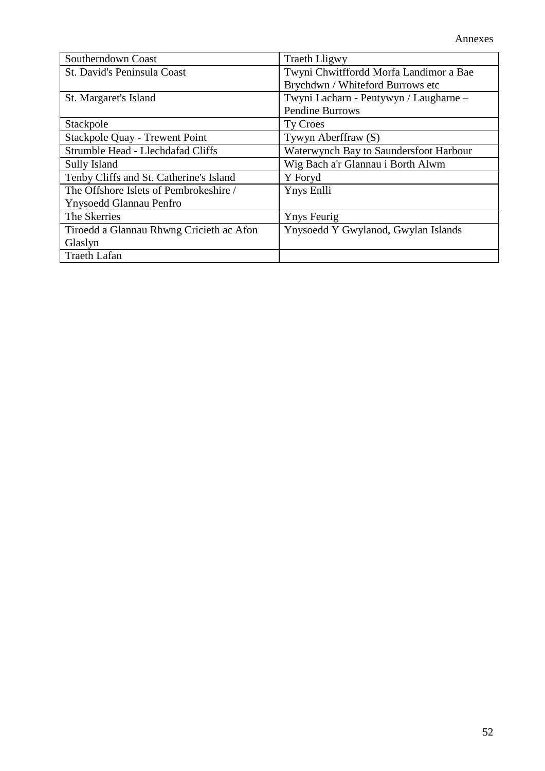| Southerndown Coast                       | <b>Traeth Lligwy</b>                   |
|------------------------------------------|----------------------------------------|
| St. David's Peninsula Coast              | Twyni Chwitffordd Morfa Landimor a Bae |
|                                          | Brychdwn / Whiteford Burrows etc       |
| St. Margaret's Island                    | Twyni Lacharn - Pentywyn / Laugharne - |
|                                          | <b>Pendine Burrows</b>                 |
| Stackpole                                | Ty Croes                               |
| <b>Stackpole Quay - Trewent Point</b>    | Tywyn Aberffraw (S)                    |
| Strumble Head - Llechdafad Cliffs        | Waterwynch Bay to Saundersfoot Harbour |
| Sully Island                             | Wig Bach a'r Glannau i Borth Alwm      |
| Tenby Cliffs and St. Catherine's Island  | Y Foryd                                |
| The Offshore Islets of Pembrokeshire /   | Ynys Enlli                             |
| Ynysoedd Glannau Penfro                  |                                        |
| The Skerries                             | <b>Ynys Feurig</b>                     |
| Tiroedd a Glannau Rhwng Cricieth ac Afon | Ynysoedd Y Gwylanod, Gwylan Islands    |
| Glaslyn                                  |                                        |
| <b>Traeth Lafan</b>                      |                                        |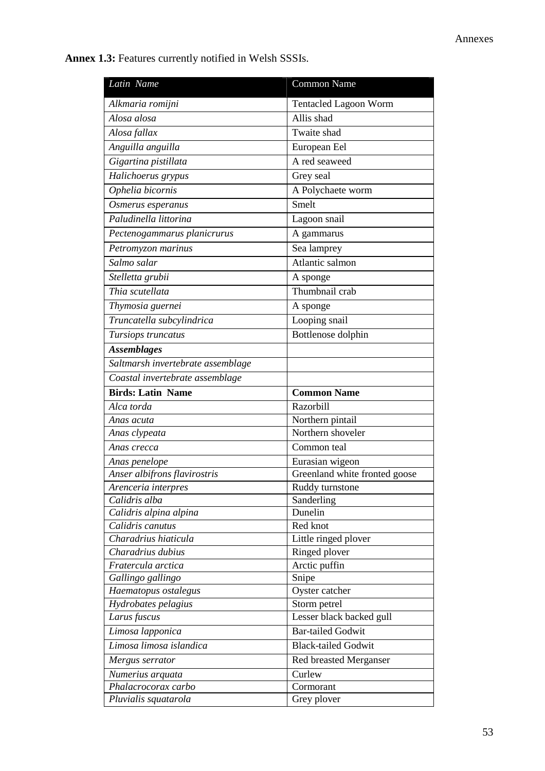**Annex 1.3:** Features currently notified in Welsh SSSIs.

| Latin Name                        | Common Name                   |
|-----------------------------------|-------------------------------|
| Alkmaria romijni                  | <b>Tentacled Lagoon Worm</b>  |
| Alosa alosa                       | Allis shad                    |
| Alosa fallax                      | Twaite shad                   |
| Anguilla anguilla                 | European Eel                  |
| Gigartina pistillata              | A red seaweed                 |
| Halichoerus grypus                | Grey seal                     |
| Ophelia bicornis                  | A Polychaete worm             |
| Osmerus esperanus                 | Smelt                         |
| Paludinella littorina             | Lagoon snail                  |
| Pectenogammarus planicrurus       | A gammarus                    |
| Petromyzon marinus                | Sea lamprey                   |
| Salmo salar                       | Atlantic salmon               |
| Stelletta grubii                  | A sponge                      |
| Thia scutellata                   | Thumbnail crab                |
| Thymosia guernei                  | A sponge                      |
| Truncatella subcylindrica         | Looping snail                 |
| Tursiops truncatus                | Bottlenose dolphin            |
| <b>Assemblages</b>                |                               |
| Saltmarsh invertebrate assemblage |                               |
| Coastal invertebrate assemblage   |                               |
| <b>Birds: Latin Name</b>          | <b>Common Name</b>            |
| Alca torda                        | <b>Razorbill</b>              |
| Anas acuta                        | Northern pintail              |
| Anas clypeata                     | Northern shoveler             |
| Anas crecca                       | Common teal                   |
| Anas penelope                     | Eurasian wigeon               |
| Anser albifrons flavirostris      | Greenland white fronted goose |
| Arenceria interpres               | Ruddy turnstone               |
| Calidris alba                     | Sanderling                    |
| Calidris alpina alpina            | Dunelin                       |
| Calidris canutus                  | Red knot                      |
| Charadrius hiaticula              | Little ringed plover          |
| Charadrius dubius                 | Ringed plover                 |
| Fratercula arctica                | Arctic puffin                 |
| Gallingo gallingo                 | Snipe                         |
| Haematopus ostalegus              | Oyster catcher                |
| Hydrobates pelagius               | Storm petrel                  |
| Larus fuscus                      | Lesser black backed gull      |
| Limosa lapponica                  | <b>Bar-tailed Godwit</b>      |
| Limosa limosa islandica           | <b>Black-tailed Godwit</b>    |
| Mergus serrator                   | Red breasted Merganser        |
| Numerius arquata                  | Curlew                        |
| Phalacrocorax carbo               | Cormorant                     |
| Pluvialis squatarola              | Grey plover                   |